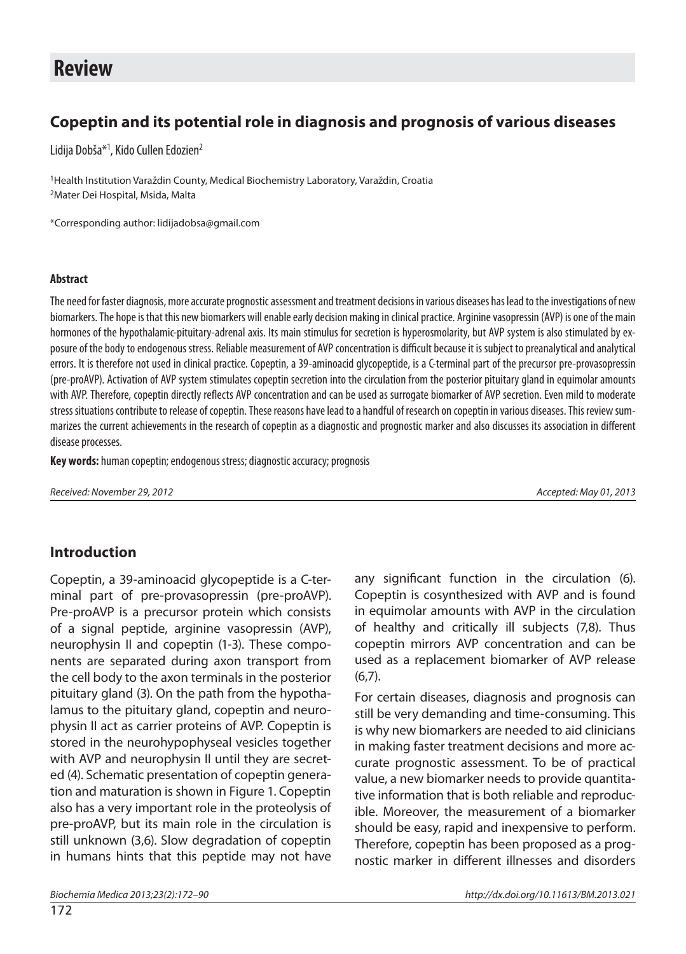# **Review**

# **Copeptin and its potential role in diagnosis and prognosis of various diseases**

Lidija Dobša\*<sup>1</sup>, Kido Cullen Edozien<sup>2</sup>

1Health Institution Varaždin County, Medical Biochemistry Laboratory, Varaždin, Croatia 2Mater Dei Hospital, Msida, Malta

\*Corresponding author: lidijadobsa@gmail.com

#### **Abstract**

The need for faster diagnosis, more accurate prognostic assessment and treatment decisions in various diseases has lead to the investigations of new biomarkers. The hope is that this new biomarkers will enable early decision making in clinical practice. Arginine vasopressin (AVP) is one of the main hormones of the hypothalamic-pituitary-adrenal axis. Its main stimulus for secretion is hyperosmolarity, but AVP system is also stimulated by exposure of the body to endogenous stress. Reliable measurement of AVP concentration is difficult because it is subject to preanalytical and analytical errors. It is therefore not used in clinical practice. Copeptin, a 39-aminoacid glycopeptide, is a C-terminal part of the precursor pre-provasopressin (pre-proAVP). Activation of AVP system stimulates copeptin secretion into the circulation from the posterior pituitary gland in equimolar amounts with AVP. Therefore, copeptin directly reflects AVP concentration and can be used as surrogate biomarker of AVP secretion. Even mild to moderate stress situations contribute to release of copeptin. These reasons have lead to a handful of research on copeptin in various diseases. This review summarizes the current achievements in the research of copeptin as a diagnostic and prognostic marker and also discusses its association in different disease processes.

**Key words:** human copeptin; endogenous stress; diagnostic accuracy; prognosis

Received: November 29, 2012 2013 2013 2014 2013 2014 2014 2015 2016 2017 2018 2019 2014 2015 2017 2018 2019 20

## **Introduction**

Copeptin, a 39-aminoacid glycopeptide is a C-terminal part of pre-provasopressin (pre-proAVP). Pre-proAVP is a precursor protein which consists of a signal peptide, arginine vasopressin (AVP), neurophysin II and copeptin (1-3). These components are separated during axon transport from the cell body to the axon terminals in the posterior pituitary gland (3). On the path from the hypothalamus to the pituitary gland, copeptin and neurophysin II act as carrier proteins of AVP. Copeptin is stored in the neurohypophyseal vesicles together with AVP and neurophysin II until they are secreted (4). Schematic presentation of copeptin generation and maturation is shown in Figure 1. Copeptin also has a very important role in the proteolysis of pre-proAVP, but its main role in the circulation is still unknown (3,6). Slow degradation of copeptin in humans hints that this peptide may not have

any significant function in the circulation (6). Copeptin is cosynthesized with AVP and is found in equimolar amounts with AVP in the circulation of healthy and critically ill subjects (7,8). Thus copeptin mirrors AVP concentration and can be used as a replacement biomarker of AVP release  $(6,7)$ .

For certain diseases, diagnosis and prognosis can still be very demanding and time-consuming. This is why new biomarkers are needed to aid clinicians in making faster treatment decisions and more accurate prognostic assessment. To be of practical value, a new biomarker needs to provide quantitative information that is both reliable and reproducible. Moreover, the measurement of a biomarker should be easy, rapid and inexpensive to perform. Therefore, copeptin has been proposed as a prognostic marker in different illnesses and disorders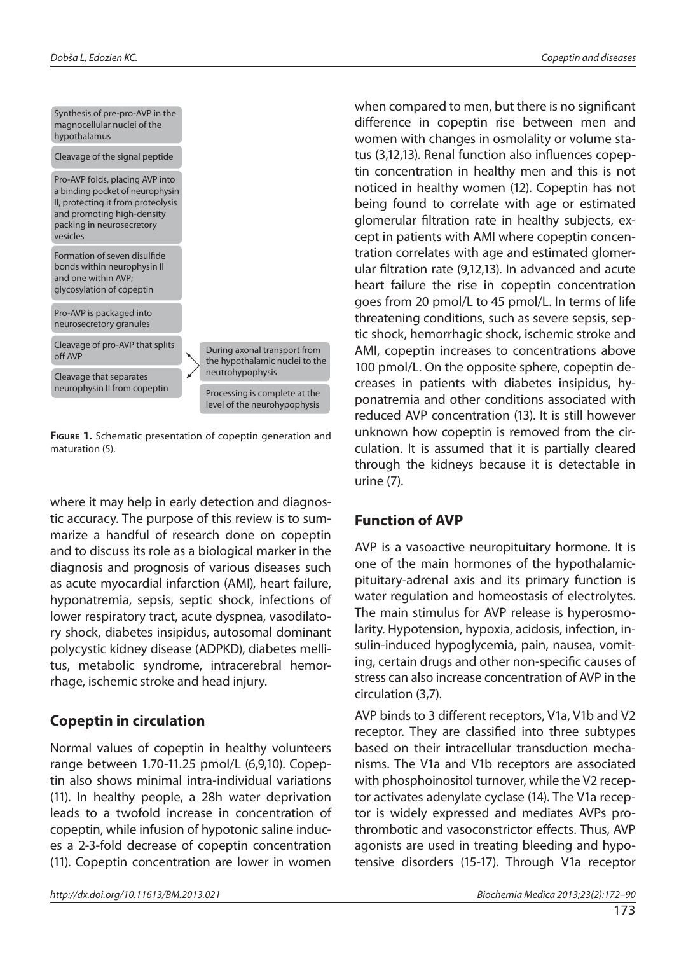

**FIGURE 1.** Schematic presentation of copeptin generation and maturation (5).

where it may help in early detection and diagnostic accuracy. The purpose of this review is to summarize a handful of research done on copeptin and to discuss its role as a biological marker in the diagnosis and prognosis of various diseases such as acute myocardial infarction (AMI), heart failure, hyponatremia, sepsis, septic shock, infections of lower respiratory tract, acute dyspnea, vasodilatory shock, diabetes insipidus, autosomal dominant polycystic kidney disease (ADPKD), diabetes mellitus, metabolic syndrome, intracerebral hemorrhage, ischemic stroke and head injury.

### **Copeptin in circulation**

Normal values of copeptin in healthy volunteers range between 1.70-11.25 pmol/L (6,9,10). Copeptin also shows minimal intra-individual variations (11). In healthy people, a 28h water deprivation leads to a twofold increase in concentration of copeptin, while infusion of hypotonic saline induces a 2-3-fold decrease of copeptin concentration (11). Copeptin concentration are lower in women

when compared to men, but there is no significant difference in copeptin rise between men and women with changes in osmolality or volume status (3,12,13). Renal function also influences copeptin concentration in healthy men and this is not noticed in healthy women (12). Copeptin has not being found to correlate with age or estimated glomerular filtration rate in healthy subjects, except in patients with AMI where copeptin concentration correlates with age and estimated glomerular filtration rate (9,12,13). In advanced and acute heart failure the rise in copeptin concentration goes from 20 pmol/L to 45 pmol/L. In terms of life threatening conditions, such as severe sepsis, septic shock, hemorrhagic shock, ischemic stroke and AMI, copeptin increases to concentrations above 100 pmol/L. On the opposite sphere, copeptin decreases in patients with diabetes insipidus, hyponatremia and other conditions associated with reduced AVP concentration (13). It is still however unknown how copeptin is removed from the circulation. It is assumed that it is partially cleared through the kidneys because it is detectable in urine (7).

## **Function of AVP**

AVP is a vasoactive neuropituitary hormone. It is one of the main hormones of the hypothalamicpituitary-adrenal axis and its primary function is water regulation and homeostasis of electrolytes. The main stimulus for AVP release is hyperosmolarity. Hypotension, hypoxia, acidosis, infection, insulin-induced hypoglycemia, pain, nausea, vomiting, certain drugs and other non-specific causes of stress can also increase concentration of AVP in the circulation (3,7).

AVP binds to 3 different receptors, V1a, V1b and V2 receptor. They are classified into three subtypes based on their intracellular transduction mechanisms. The V1a and V1b receptors are associated with phosphoinositol turnover, while the V2 receptor activates adenylate cyclase (14). The V1a receptor is widely expressed and mediates AVPs prothrombotic and vasoconstrictor effects. Thus, AVP agonists are used in treating bleeding and hypotensive disorders (15-17). Through V1a receptor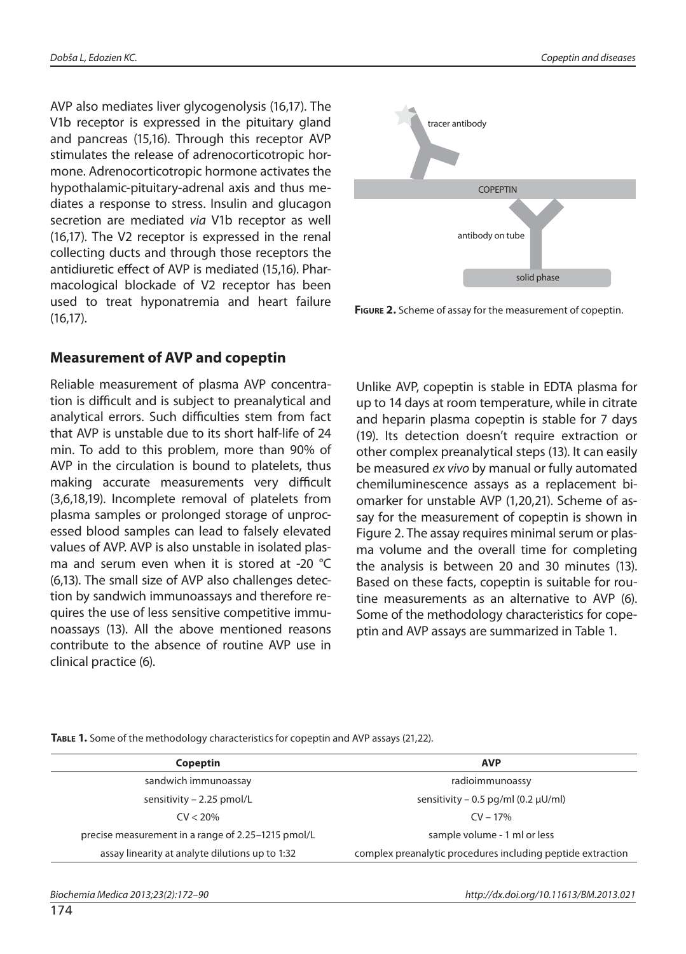AVP also mediates liver glycogenolysis (16,17). The V1b receptor is expressed in the pituitary gland and pancreas (15,16). Through this receptor AVP stimulates the release of adrenocorticotropic hormone. Adrenocorticotropic hormone activates the hypothalamic-pituitary-adrenal axis and thus mediates a response to stress. Insulin and glucagon secretion are mediated via V1b receptor as well (16,17). The V2 receptor is expressed in the renal collecting ducts and through those receptors the antidiuretic effect of AVP is mediated (15,16). Pharmacological blockade of V2 receptor has been used to treat hyponatremia and heart failure (16,17).

## **Measurement of AVP and copeptin**

Reliable measurement of plasma AVP concentration is difficult and is subject to preanalytical and analytical errors. Such difficulties stem from fact that AVP is unstable due to its short half-life of 24 min. To add to this problem, more than 90% of AVP in the circulation is bound to platelets, thus making accurate measurements very difficult (3,6,18,19). Incomplete removal of platelets from plasma samples or prolonged storage of unprocessed blood samples can lead to falsely elevated values of AVP. AVP is also unstable in isolated plasma and serum even when it is stored at -20 °C (6,13). The small size of AVP also challenges detection by sandwich immunoassays and therefore requires the use of less sensitive competitive immunoassays (13). All the above mentioned reasons contribute to the absence of routine AVP use in clinical practice (6).



**FIGURE 2.** Scheme of assay for the measurement of copeptin.

Unlike AVP, copeptin is stable in EDTA plasma for up to 14 days at room temperature, while in citrate and heparin plasma copeptin is stable for 7 days (19). Its detection doesn't require extraction or other complex preanalytical steps (13). It can easily be measured ex vivo by manual or fully automated chemiluminescence assays as a replacement biomarker for unstable AVP (1,20,21). Scheme of assay for the measurement of copeptin is shown in Figure 2. The assay requires minimal serum or plasma volume and the overall time for completing the analysis is between 20 and 30 minutes (13). Based on these facts, copeptin is suitable for routine measurements as an alternative to AVP (6). Some of the methodology characteristics for copeptin and AVP assays are summarized in Table 1.

| TABLE 1. Some of the methodology characteristics for copeptin and AVP assays (21,22). |  |
|---------------------------------------------------------------------------------------|--|
|---------------------------------------------------------------------------------------|--|

| Copeptin                                           | <b>AVP</b>                                                  |
|----------------------------------------------------|-------------------------------------------------------------|
| sandwich immunoassay                               | radioimmunoassy                                             |
| sensitivity - 2.25 pmol/L                          | sensitivity $-0.5$ pg/ml (0.2 $\mu$ U/ml)                   |
| $CV < 20\%$                                        | $CV - 17\%$                                                 |
| precise measurement in a range of 2.25-1215 pmol/L | sample volume - 1 ml or less                                |
| assay linearity at analyte dilutions up to 1:32    | complex preanalytic procedures including peptide extraction |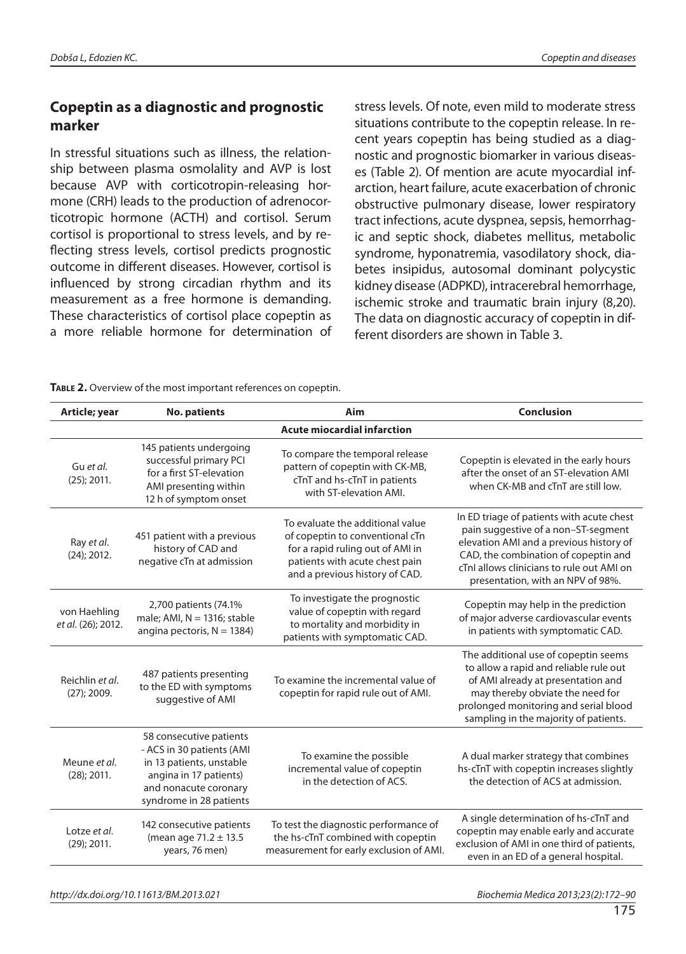## **Copeptin as a diagnostic and prognostic marker**

In stressful situations such as illness, the relationship between plasma osmolality and AVP is lost because AVP with corticotropin-releasing hormone (CRH) leads to the production of adrenocorticotropic hormone (ACTH) and cortisol. Serum cortisol is proportional to stress levels, and by reflecting stress levels, cortisol predicts prognostic outcome in different diseases. However, cortisol is influenced by strong circadian rhythm and its measurement as a free hormone is demanding. These characteristics of cortisol place copeptin as a more reliable hormone for determination of stress levels. Of note, even mild to moderate stress situations contribute to the copeptin release. In recent years copeptin has being studied as a diagnostic and prognostic biomarker in various diseases (Table 2). Of mention are acute myocardial infarction, heart failure, acute exacerbation of chronic obstructive pulmonary disease, lower respiratory tract infections, acute dyspnea, sepsis, hemorrhagic and septic shock, diabetes mellitus, metabolic syndrome, hyponatremia, vasodilatory shock, diabetes insipidus, autosomal dominant polycystic kidney disease (ADPKD), intracerebral hemorrhage, ischemic stroke and traumatic brain injury (8,20). The data on diagnostic accuracy of copeptin in different disorders are shown in Table 3.

**TABLE 2.** Overview of the most important references on copeptin.

| Article; year                      | <b>No. patients</b>                                                                                                                                            | Aim                                                                                                                                                                         | <b>Conclusion</b>                                                                                                                                                                                                                                     |
|------------------------------------|----------------------------------------------------------------------------------------------------------------------------------------------------------------|-----------------------------------------------------------------------------------------------------------------------------------------------------------------------------|-------------------------------------------------------------------------------------------------------------------------------------------------------------------------------------------------------------------------------------------------------|
|                                    |                                                                                                                                                                | <b>Acute miocardial infarction</b>                                                                                                                                          |                                                                                                                                                                                                                                                       |
| Gu et al.<br>$(25)$ ; 2011.        | 145 patients undergoing<br>successful primary PCI<br>for a first ST-elevation<br>AMI presenting within<br>12 h of symptom onset                                | To compare the temporal release<br>pattern of copeptin with CK-MB,<br>cTnT and hs-cTnT in patients<br>with ST-elevation AMI.                                                | Copeptin is elevated in the early hours<br>after the onset of an ST-elevation AMI<br>when CK-MB and cTnT are still low.                                                                                                                               |
| Ray et al.<br>$(24)$ ; 2012.       | 451 patient with a previous<br>history of CAD and<br>negative cTn at admission                                                                                 | To evaluate the additional value<br>of copeptin to conventional cTn<br>for a rapid ruling out of AMI in<br>patients with acute chest pain<br>and a previous history of CAD. | In ED triage of patients with acute chest<br>pain suggestive of a non-ST-segment<br>elevation AMI and a previous history of<br>CAD, the combination of copeptin and<br>cTnl allows clinicians to rule out AMI on<br>presentation, with an NPV of 98%. |
| von Haehling<br>et al. (26); 2012. | 2,700 patients (74.1%<br>male; AMI, $N = 1316$ ; stable<br>angina pectoris, $N = 1384$ )                                                                       | To investigate the prognostic<br>value of copeptin with regard<br>to mortality and morbidity in<br>patients with symptomatic CAD.                                           | Copeptin may help in the prediction<br>of major adverse cardiovascular events<br>in patients with symptomatic CAD.                                                                                                                                    |
| Reichlin et al.<br>$(27)$ ; 2009.  | 487 patients presenting<br>to the ED with symptoms<br>suggestive of AMI                                                                                        | To examine the incremental value of<br>copeptin for rapid rule out of AMI.                                                                                                  | The additional use of copeptin seems<br>to allow a rapid and reliable rule out<br>of AMI already at presentation and<br>may thereby obviate the need for<br>prolonged monitoring and serial blood<br>sampling in the majority of patients.            |
| Meune et al.<br>$(28)$ ; 2011.     | 58 consecutive patients<br>- ACS in 30 patients (AMI<br>in 13 patients, unstable<br>angina in 17 patients)<br>and nonacute coronary<br>syndrome in 28 patients | To examine the possible<br>incremental value of copeptin<br>in the detection of ACS.                                                                                        | A dual marker strategy that combines<br>hs-cTnT with copeptin increases slightly<br>the detection of ACS at admission.                                                                                                                                |
| Lotze et al.<br>$(29)$ ; 2011.     | 142 consecutive patients<br>(mean age 71.2 ± 13.5<br>years, 76 men)                                                                                            | To test the diagnostic performance of<br>the hs-cTnT combined with copeptin<br>measurement for early exclusion of AMI.                                                      | A single determination of hs-cTnT and<br>copeptin may enable early and accurate<br>exclusion of AMI in one third of patients,<br>even in an ED of a general hospital.                                                                                 |

http://dx.doi.org/10.11613/BM.2013.021 Biochemia Medica 2013;23(2):172–90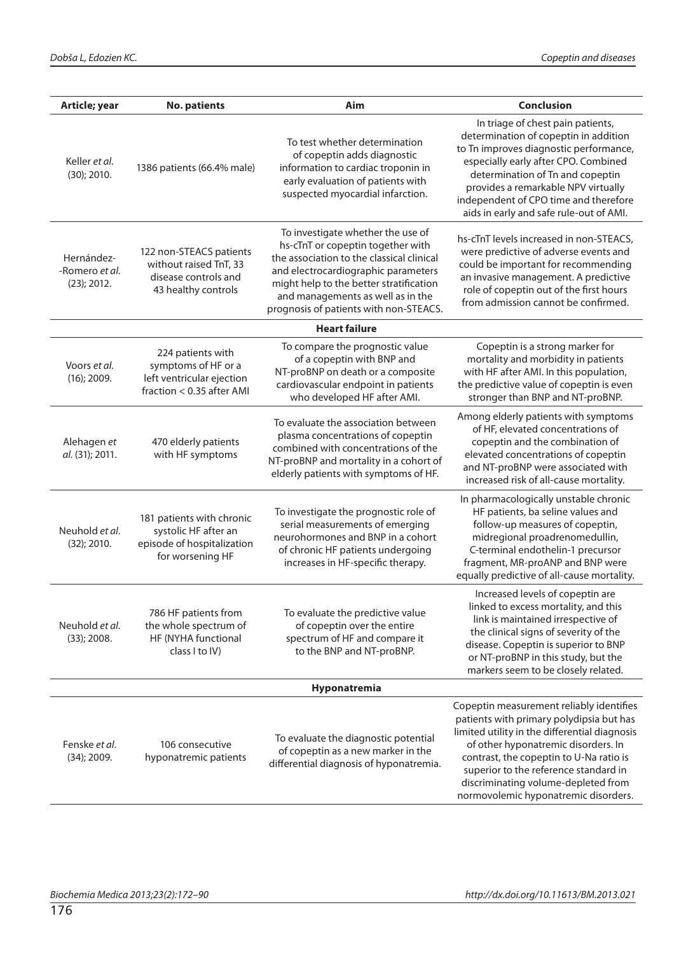| Article; year                               | <b>No. patients</b>                                                                                 | Aim                                                                                                                                                                                                                                                                                  | <b>Conclusion</b>                                                                                                                                                                                                                                                                                                                               |
|---------------------------------------------|-----------------------------------------------------------------------------------------------------|--------------------------------------------------------------------------------------------------------------------------------------------------------------------------------------------------------------------------------------------------------------------------------------|-------------------------------------------------------------------------------------------------------------------------------------------------------------------------------------------------------------------------------------------------------------------------------------------------------------------------------------------------|
| Keller et al.<br>(30); 2010.                | 1386 patients (66.4% male)                                                                          | To test whether determination<br>of copeptin adds diagnostic<br>information to cardiac troponin in<br>early evaluation of patients with<br>suspected myocardial infarction.                                                                                                          | In triage of chest pain patients,<br>determination of copeptin in addition<br>to Tn improves diagnostic performance,<br>especially early after CPO. Combined<br>determination of Tn and copeptin<br>provides a remarkable NPV virtually<br>independent of CPO time and therefore<br>aids in early and safe rule-out of AMI.                     |
| Hernández-<br>-Romero et al.<br>(23); 2012. | 122 non-STEACS patients<br>without raised TnT, 33<br>disease controls and<br>43 healthy controls    | To investigate whether the use of<br>hs-cTnT or copeptin together with<br>the association to the classical clinical<br>and electrocardiographic parameters<br>might help to the better stratification<br>and managements as well as in the<br>prognosis of patients with non-STEACS. | hs-cTnT levels increased in non-STEACS,<br>were predictive of adverse events and<br>could be important for recommending<br>an invasive management. A predictive<br>role of copeptin out of the first hours<br>from admission cannot be confirmed.                                                                                               |
|                                             |                                                                                                     | <b>Heart failure</b>                                                                                                                                                                                                                                                                 |                                                                                                                                                                                                                                                                                                                                                 |
| Voors et al.<br>$(16)$ ; 2009.              | 224 patients with<br>symptoms of HF or a<br>left ventricular ejection<br>fraction < 0.35 after AMI  | To compare the prognostic value<br>of a copeptin with BNP and<br>NT-proBNP on death or a composite<br>cardiovascular endpoint in patients<br>who developed HF after AMI.                                                                                                             | Copeptin is a strong marker for<br>mortality and morbidity in patients<br>with HF after AMI. In this population,<br>the predictive value of copeptin is even<br>stronger than BNP and NT-proBNP.                                                                                                                                                |
| Alehagen et<br>al. (31); 2011.              | 470 elderly patients<br>with HF symptoms                                                            | To evaluate the association between<br>plasma concentrations of copeptin<br>combined with concentrations of the<br>NT-proBNP and mortality in a cohort of<br>elderly patients with symptoms of HF.                                                                                   | Among elderly patients with symptoms<br>of HF, elevated concentrations of<br>copeptin and the combination of<br>elevated concentrations of copeptin<br>and NT-proBNP were associated with<br>increased risk of all-cause mortality.                                                                                                             |
| Neuhold et al.<br>(32); 2010.               | 181 patients with chronic<br>systolic HF after an<br>episode of hospitalization<br>for worsening HF | To investigate the prognostic role of<br>serial measurements of emerging<br>neurohormones and BNP in a cohort<br>of chronic HF patients undergoing<br>increases in HF-specific therapy.                                                                                              | In pharmacologically unstable chronic<br>HF patients, ba seline values and<br>follow-up measures of copeptin,<br>midregional proadrenomedullin,<br>C-terminal endothelin-1 precursor<br>fragment, MR-proANP and BNP were<br>equally predictive of all-cause mortality.                                                                          |
| Neuhold et al.<br>$(33)$ ; 2008.            | 786 HF patients from<br>the whole spectrum of<br>HF (NYHA functional<br>class I to IV)              | To evaluate the predictive value<br>of copeptin over the entire<br>spectrum of HF and compare it<br>to the BNP and NT-proBNP.                                                                                                                                                        | Increased levels of copeptin are<br>linked to excess mortality, and this<br>link is maintained irrespective of<br>the clinical signs of severity of the<br>disease. Copeptin is superior to BNP<br>or NT-proBNP in this study, but the<br>markers seem to be closely related.                                                                   |
|                                             |                                                                                                     | Hyponatremia                                                                                                                                                                                                                                                                         |                                                                                                                                                                                                                                                                                                                                                 |
| Fenske <i>et al</i> .<br>$(34)$ ; 2009.     | 106 consecutive<br>hyponatremic patients                                                            | To evaluate the diagnostic potential<br>of copeptin as a new marker in the<br>differential diagnosis of hyponatremia.                                                                                                                                                                | Copeptin measurement reliably identifies<br>patients with primary polydipsia but has<br>limited utility in the differential diagnosis<br>of other hyponatremic disorders. In<br>contrast, the copeptin to U-Na ratio is<br>superior to the reference standard in<br>discriminating volume-depleted from<br>normovolemic hyponatremic disorders. |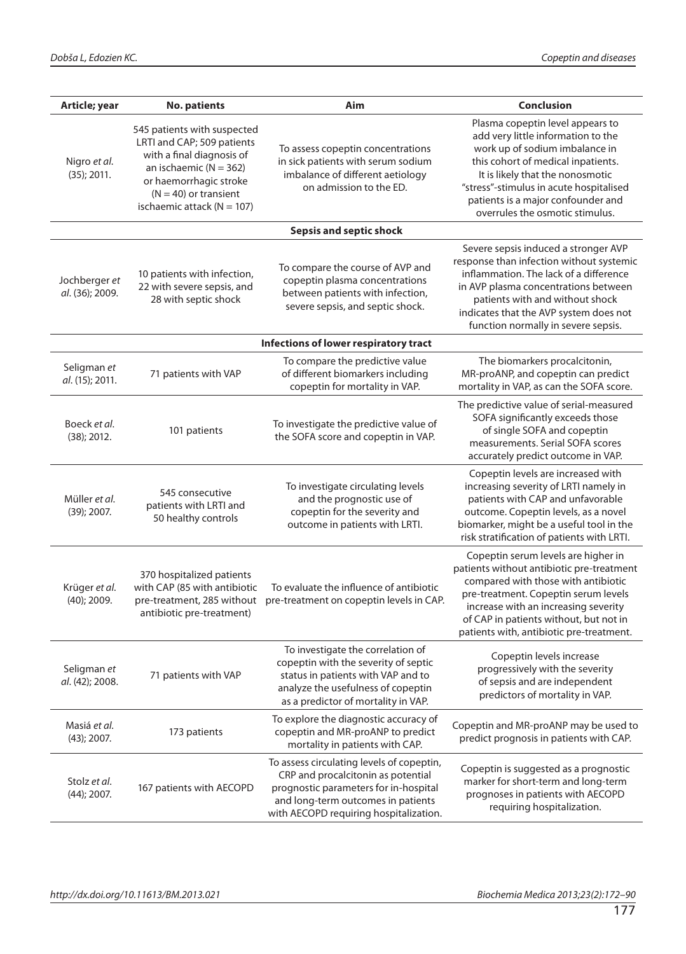| Article; year                    | <b>No. patients</b>                                                                                                                                                                                         | Aim                                                                                                                                                                                                      | <b>Conclusion</b>                                                                                                                                                                                                                                                                                      |
|----------------------------------|-------------------------------------------------------------------------------------------------------------------------------------------------------------------------------------------------------------|----------------------------------------------------------------------------------------------------------------------------------------------------------------------------------------------------------|--------------------------------------------------------------------------------------------------------------------------------------------------------------------------------------------------------------------------------------------------------------------------------------------------------|
| Nigro et al.<br>$(35)$ ; 2011.   | 545 patients with suspected<br>LRTI and CAP; 509 patients<br>with a final diagnosis of<br>an ischaemic ( $N = 362$ )<br>or haemorrhagic stroke<br>$(N = 40)$ or transient<br>ischaemic attack ( $N = 107$ ) | To assess copeptin concentrations<br>in sick patients with serum sodium<br>imbalance of different aetiology<br>on admission to the ED.                                                                   | Plasma copeptin level appears to<br>add very little information to the<br>work up of sodium imbalance in<br>this cohort of medical inpatients.<br>It is likely that the nonosmotic<br>"stress"-stimulus in acute hospitalised<br>patients is a major confounder and<br>overrules the osmotic stimulus. |
|                                  |                                                                                                                                                                                                             | <b>Sepsis and septic shock</b>                                                                                                                                                                           |                                                                                                                                                                                                                                                                                                        |
| Jochberger et<br>al. (36); 2009. | 10 patients with infection,<br>22 with severe sepsis, and<br>28 with septic shock                                                                                                                           | To compare the course of AVP and<br>copeptin plasma concentrations<br>between patients with infection,<br>severe sepsis, and septic shock.                                                               | Severe sepsis induced a stronger AVP<br>response than infection without systemic<br>inflammation. The lack of a difference<br>in AVP plasma concentrations between<br>patients with and without shock<br>indicates that the AVP system does not<br>function normally in severe sepsis.                 |
|                                  |                                                                                                                                                                                                             | Infections of lower respiratory tract                                                                                                                                                                    |                                                                                                                                                                                                                                                                                                        |
| Seligman et<br>al. (15); 2011.   | 71 patients with VAP                                                                                                                                                                                        | To compare the predictive value<br>of different biomarkers including<br>copeptin for mortality in VAP.                                                                                                   | The biomarkers procalcitonin,<br>MR-proANP, and copeptin can predict<br>mortality in VAP, as can the SOFA score.                                                                                                                                                                                       |
| Boeck et al.<br>$(38)$ ; 2012.   | 101 patients                                                                                                                                                                                                | To investigate the predictive value of<br>the SOFA score and copeptin in VAP.                                                                                                                            | The predictive value of serial-measured<br>SOFA significantly exceeds those<br>of single SOFA and copeptin<br>measurements. Serial SOFA scores<br>accurately predict outcome in VAP.                                                                                                                   |
| Müller et al.<br>(39); 2007.     | 545 consecutive<br>patients with LRTI and<br>50 healthy controls                                                                                                                                            | To investigate circulating levels<br>and the prognostic use of<br>copeptin for the severity and<br>outcome in patients with LRTI.                                                                        | Copeptin levels are increased with<br>increasing severity of LRTI namely in<br>patients with CAP and unfavorable<br>outcome. Copeptin levels, as a novel<br>biomarker, might be a useful tool in the<br>risk stratification of patients with LRTI.                                                     |
| Krüger et al.<br>$(40)$ ; 2009.  | 370 hospitalized patients<br>with CAP (85 with antibiotic<br>pre-treatment, 285 without<br>antibiotic pre-treatment)                                                                                        | To evaluate the influence of antibiotic<br>pre-treatment on copeptin levels in CAP.                                                                                                                      | Copeptin serum levels are higher in<br>patients without antibiotic pre-treatment<br>compared with those with antibiotic<br>pre-treatment. Copeptin serum levels<br>increase with an increasing severity<br>of CAP in patients without, but not in<br>patients with, antibiotic pre-treatment.          |
| Seligman et<br>al. (42); 2008.   | 71 patients with VAP                                                                                                                                                                                        | To investigate the correlation of<br>copeptin with the severity of septic<br>status in patients with VAP and to<br>analyze the usefulness of copeptin<br>as a predictor of mortality in VAP.             | Copeptin levels increase<br>progressively with the severity<br>of sepsis and are independent<br>predictors of mortality in VAP.                                                                                                                                                                        |
| Masiá et al.<br>$(43)$ ; 2007.   | 173 patients                                                                                                                                                                                                | To explore the diagnostic accuracy of<br>copeptin and MR-proANP to predict<br>mortality in patients with CAP.                                                                                            | Copeptin and MR-proANP may be used to<br>predict prognosis in patients with CAP.                                                                                                                                                                                                                       |
| Stolz et al.<br>$(44)$ ; 2007.   | 167 patients with AECOPD                                                                                                                                                                                    | To assess circulating levels of copeptin,<br>CRP and procalcitonin as potential<br>prognostic parameters for in-hospital<br>and long-term outcomes in patients<br>with AECOPD requiring hospitalization. | Copeptin is suggested as a prognostic<br>marker for short-term and long-term<br>prognoses in patients with AECOPD<br>requiring hospitalization.                                                                                                                                                        |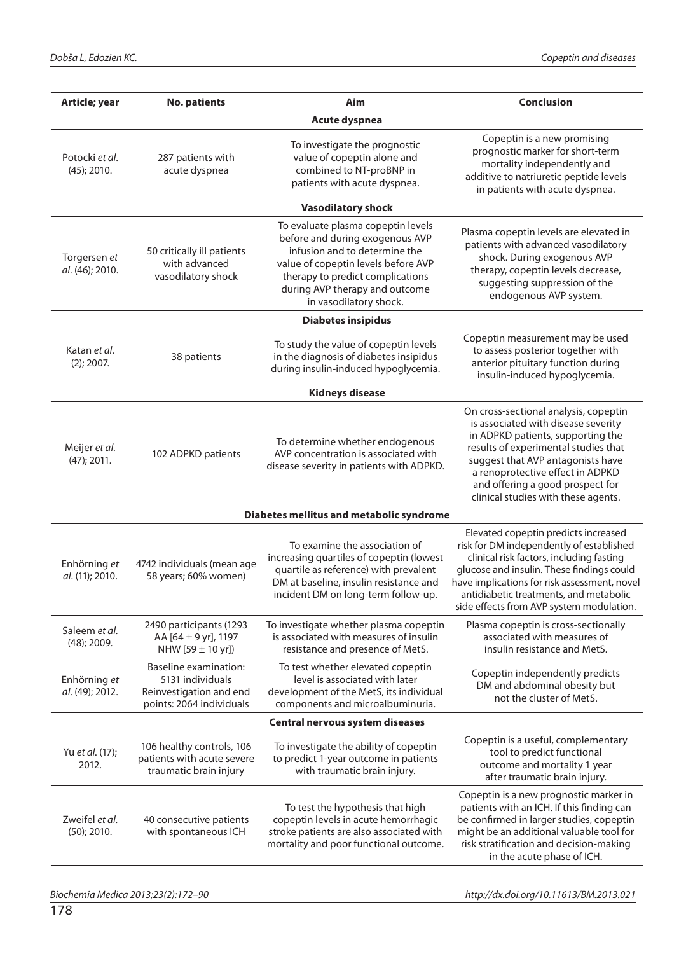| Article; year                    | <b>No. patients</b>                                                                                     | Aim                                                                                                                                                                                                                                           | <b>Conclusion</b>                                                                                                                                                                                                                                                                                               |
|----------------------------------|---------------------------------------------------------------------------------------------------------|-----------------------------------------------------------------------------------------------------------------------------------------------------------------------------------------------------------------------------------------------|-----------------------------------------------------------------------------------------------------------------------------------------------------------------------------------------------------------------------------------------------------------------------------------------------------------------|
|                                  |                                                                                                         | Acute dyspnea                                                                                                                                                                                                                                 |                                                                                                                                                                                                                                                                                                                 |
| Potocki et al.<br>$(45)$ ; 2010. | 287 patients with<br>acute dyspnea                                                                      | To investigate the prognostic<br>value of copeptin alone and<br>combined to NT-proBNP in<br>patients with acute dyspnea.                                                                                                                      | Copeptin is a new promising<br>prognostic marker for short-term<br>mortality independently and<br>additive to natriuretic peptide levels<br>in patients with acute dyspnea.                                                                                                                                     |
|                                  |                                                                                                         | <b>Vasodilatory shock</b>                                                                                                                                                                                                                     |                                                                                                                                                                                                                                                                                                                 |
| Torgersen et<br>al. (46); 2010.  | 50 critically ill patients<br>with advanced<br>vasodilatory shock                                       | To evaluate plasma copeptin levels<br>before and during exogenous AVP<br>infusion and to determine the<br>value of copeptin levels before AVP<br>therapy to predict complications<br>during AVP therapy and outcome<br>in vasodilatory shock. | Plasma copeptin levels are elevated in<br>patients with advanced vasodilatory<br>shock. During exogenous AVP<br>therapy, copeptin levels decrease,<br>suggesting suppression of the<br>endogenous AVP system.                                                                                                   |
|                                  |                                                                                                         | <b>Diabetes insipidus</b>                                                                                                                                                                                                                     |                                                                                                                                                                                                                                                                                                                 |
| Katan et al.<br>$(2)$ ; 2007.    | 38 patients                                                                                             | To study the value of copeptin levels<br>in the diagnosis of diabetes insipidus<br>during insulin-induced hypoglycemia.                                                                                                                       | Copeptin measurement may be used<br>to assess posterior together with<br>anterior pituitary function during<br>insulin-induced hypoglycemia.                                                                                                                                                                    |
|                                  |                                                                                                         | <b>Kidneys disease</b>                                                                                                                                                                                                                        |                                                                                                                                                                                                                                                                                                                 |
| Meijer et al.<br>$(47)$ ; 2011.  | 102 ADPKD patients                                                                                      | To determine whether endogenous<br>AVP concentration is associated with<br>disease severity in patients with ADPKD.                                                                                                                           | On cross-sectional analysis, copeptin<br>is associated with disease severity<br>in ADPKD patients, supporting the<br>results of experimental studies that<br>suggest that AVP antagonists have<br>a renoprotective effect in ADPKD<br>and offering a good prospect for<br>clinical studies with these agents.   |
|                                  |                                                                                                         | Diabetes mellitus and metabolic syndrome                                                                                                                                                                                                      |                                                                                                                                                                                                                                                                                                                 |
| Enhörning et<br>al. (11); 2010.  | 4742 individuals (mean age<br>58 years; 60% women)                                                      | To examine the association of<br>increasing quartiles of copeptin (lowest<br>quartile as reference) with prevalent<br>DM at baseline, insulin resistance and<br>incident DM on long-term follow-up.                                           | Elevated copeptin predicts increased<br>risk for DM independently of established<br>clinical risk factors, including fasting<br>glucose and insulin. These findings could<br>have implications for risk assessment, novel<br>antidiabetic treatments, and metabolic<br>side effects from AVP system modulation. |
| Saleem et al.<br>$(48)$ ; 2009.  | 2490 participants (1293<br>AA [64 ± 9 yr], 1197<br>NHW [59 ± 10 yr])                                    | To investigate whether plasma copeptin<br>is associated with measures of insulin<br>resistance and presence of MetS.                                                                                                                          | Plasma copeptin is cross-sectionally<br>associated with measures of<br>insulin resistance and MetS.                                                                                                                                                                                                             |
| Enhörning et<br>al. (49); 2012.  | <b>Baseline examination:</b><br>5131 individuals<br>Reinvestigation and end<br>points: 2064 individuals | To test whether elevated copeptin<br>level is associated with later<br>development of the MetS, its individual<br>components and microalbuminuria.                                                                                            | Copeptin independently predicts<br>DM and abdominal obesity but<br>not the cluster of MetS.                                                                                                                                                                                                                     |
|                                  |                                                                                                         | Central nervous system diseases                                                                                                                                                                                                               |                                                                                                                                                                                                                                                                                                                 |
| Yu et al. (17);<br>2012.         | 106 healthy controls, 106<br>patients with acute severe<br>traumatic brain injury                       | To investigate the ability of copeptin<br>to predict 1-year outcome in patients<br>with traumatic brain injury.                                                                                                                               | Copeptin is a useful, complementary<br>tool to predict functional<br>outcome and mortality 1 year<br>after traumatic brain injury.                                                                                                                                                                              |
| Zweifel et al.<br>$(50)$ ; 2010. | 40 consecutive patients<br>with spontaneous ICH                                                         | To test the hypothesis that high<br>copeptin levels in acute hemorrhagic<br>stroke patients are also associated with<br>mortality and poor functional outcome.                                                                                | Copeptin is a new prognostic marker in<br>patients with an ICH. If this finding can<br>be confirmed in larger studies, copeptin<br>might be an additional valuable tool for<br>risk stratification and decision-making<br>in the acute phase of ICH.                                                            |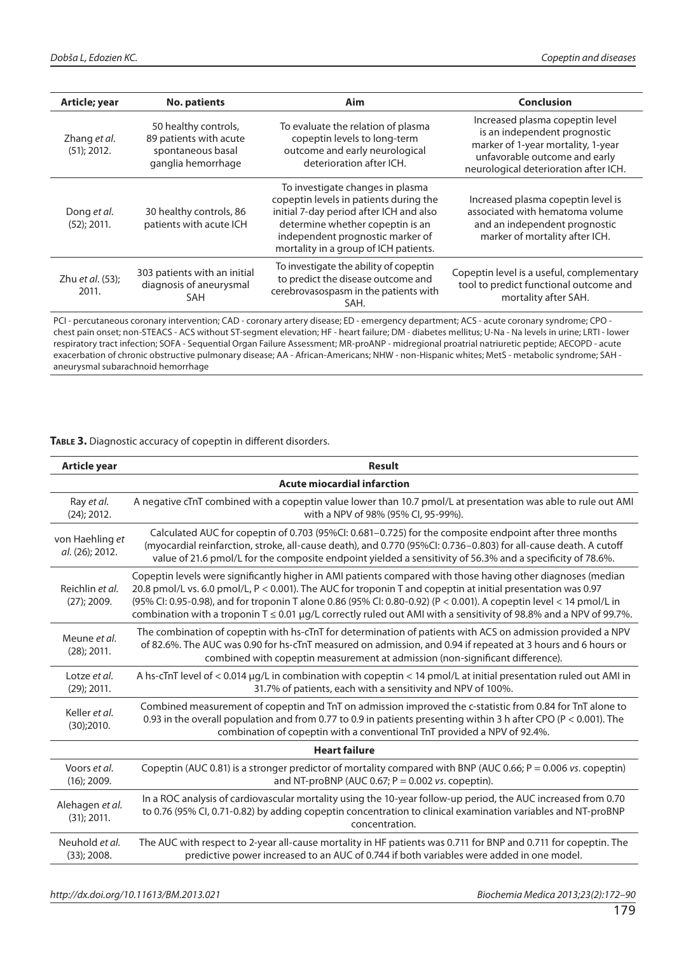| Article; year                  | <b>No. patients</b>                                                                       | Aim                                                                                                                                                                                                                                    | <b>Conclusion</b>                                                                                                                                                               |
|--------------------------------|-------------------------------------------------------------------------------------------|----------------------------------------------------------------------------------------------------------------------------------------------------------------------------------------------------------------------------------------|---------------------------------------------------------------------------------------------------------------------------------------------------------------------------------|
| Zhang et al.<br>$(51)$ ; 2012. | 50 healthy controls,<br>89 patients with acute<br>spontaneous basal<br>ganglia hemorrhage | To evaluate the relation of plasma<br>copeptin levels to long-term<br>outcome and early neurological<br>deterioration after ICH.                                                                                                       | Increased plasma copeptin level<br>is an independent prognostic<br>marker of 1-year mortality, 1-year<br>unfavorable outcome and early<br>neurological deterioration after ICH. |
| Dong et al.<br>$(52)$ ; 2011.  | 30 healthy controls, 86<br>patients with acute ICH                                        | To investigate changes in plasma<br>copeptin levels in patients during the<br>initial 7-day period after ICH and also<br>determine whether copeptin is an<br>independent prognostic marker of<br>mortality in a group of ICH patients. | Increased plasma copeptin level is<br>associated with hematoma volume<br>and an independent prognostic<br>marker of mortality after ICH.                                        |
| Zhu et al. (53);<br>2011.      | 303 patients with an initial<br>diagnosis of aneurysmal<br>SAH                            | To investigate the ability of copeptin<br>to predict the disease outcome and<br>cerebrovasospasm in the patients with<br>SAH.                                                                                                          | Copeptin level is a useful, complementary<br>tool to predict functional outcome and<br>mortality after SAH.                                                                     |
|                                |                                                                                           | $PCl$ - percutaneous coronary intervention: $CAD$ - coronary artery disease: $FD$ - emergency denartment: $\Delta CS$ - acute coronary syndrome: $CPO$ -                                                                               |                                                                                                                                                                                 |

PCI - percutaneous coronary intervention; CAD - coronary artery disease; ED - emergency department; ACS - acute coronary syndrome; CPO chest pain onset; non-STEACS - ACS without ST-segment elevation; HF - heart failure; DM - diabetes mellitus; U-Na - Na levels in urine; LRTI - lower respiratory tract infection; SOFA - Sequential Organ Failure Assessment; MR-proANP - midregional proatrial natriuretic peptide; AECOPD - acute exacerbation of chronic obstructive pulmonary disease; AA - African-Americans; NHW - non-Hispanic whites; MetS - metabolic syndrome; SAH aneurysmal subarachnoid hemorrhage

TABLE 3. Diagnostic accuracy of copeptin in different disorders.

| Article year                       | <b>Result</b>                                                                                                                                                                                                                                                                                                                                                                                                                                                                |  |
|------------------------------------|------------------------------------------------------------------------------------------------------------------------------------------------------------------------------------------------------------------------------------------------------------------------------------------------------------------------------------------------------------------------------------------------------------------------------------------------------------------------------|--|
|                                    | <b>Acute miocardial infarction</b>                                                                                                                                                                                                                                                                                                                                                                                                                                           |  |
| Ray et al.<br>$(24)$ ; 2012.       | A negative cTnT combined with a copeptin value lower than 10.7 pmol/L at presentation was able to rule out AMI<br>with a NPV of 98% (95% CI, 95-99%).                                                                                                                                                                                                                                                                                                                        |  |
| von Haehling et<br>al. (26); 2012. | Calculated AUC for copeptin of 0.703 (95%CI: 0.681-0.725) for the composite endpoint after three months<br>(myocardial reinfarction, stroke, all-cause death), and 0.770 (95%CI: 0.736-0.803) for all-cause death. A cutoff<br>value of 21.6 pmol/L for the composite endpoint yielded a sensitivity of 56.3% and a specificity of 78.6%.                                                                                                                                    |  |
| Reichlin et al.<br>$(27)$ ; 2009.  | Copeptin levels were significantly higher in AMI patients compared with those having other diagnoses (median<br>20.8 pmol/L vs. 6.0 pmol/L, P < 0.001). The AUC for troponin T and copeptin at initial presentation was 0.97<br>(95% Cl: 0.95-0.98), and for troponin T alone 0.86 (95% Cl: 0.80-0.92) (P < 0.001). A copeptin level < 14 pmol/L in<br>combination with a troponin $T \le 0.01$ µg/L correctly ruled out AMI with a sensitivity of 98.8% and a NPV of 99.7%. |  |
| Meune et al.<br>$(28)$ ; 2011.     | The combination of copeptin with hs-cTnT for determination of patients with ACS on admission provided a NPV<br>of 82.6%. The AUC was 0.90 for hs-cTnT measured on admission, and 0.94 if repeated at 3 hours and 6 hours or<br>combined with copeptin measurement at admission (non-significant difference).                                                                                                                                                                 |  |
| Lotze et al.<br>$(29)$ ; 2011.     | A hs-cTnT level of < 0.014 µg/L in combination with copeptin < 14 pmol/L at initial presentation ruled out AMI in<br>31.7% of patients, each with a sensitivity and NPV of 100%.                                                                                                                                                                                                                                                                                             |  |
| Keller et al.<br>(30);2010.        | Combined measurement of copeptin and TnT on admission improved the c-statistic from 0.84 for TnT alone to<br>0.93 in the overall population and from 0.77 to 0.9 in patients presenting within 3 h after CPO (P < 0.001). The<br>combination of copeptin with a conventional TnT provided a NPV of 92.4%.                                                                                                                                                                    |  |
| <b>Heart failure</b>               |                                                                                                                                                                                                                                                                                                                                                                                                                                                                              |  |
| Voors et al.<br>$(16)$ ; 2009.     | Copeptin (AUC 0.81) is a stronger predictor of mortality compared with BNP (AUC 0.66; P = 0.006 vs. copeptin)<br>and NT-proBNP (AUC 0.67; $P = 0.002$ vs. copeptin).                                                                                                                                                                                                                                                                                                         |  |
| Alehagen et al.<br>$(31)$ ; 2011.  | In a ROC analysis of cardiovascular mortality using the 10-year follow-up period, the AUC increased from 0.70<br>to 0.76 (95% Cl, 0.71-0.82) by adding copeptin concentration to clinical examination variables and NT-proBNP<br>concentration.                                                                                                                                                                                                                              |  |
| Neuhold et al.<br>$(33)$ ; 2008.   | The AUC with respect to 2-year all-cause mortality in HF patients was 0.711 for BNP and 0.711 for copeptin. The<br>predictive power increased to an AUC of 0.744 if both variables were added in one model.                                                                                                                                                                                                                                                                  |  |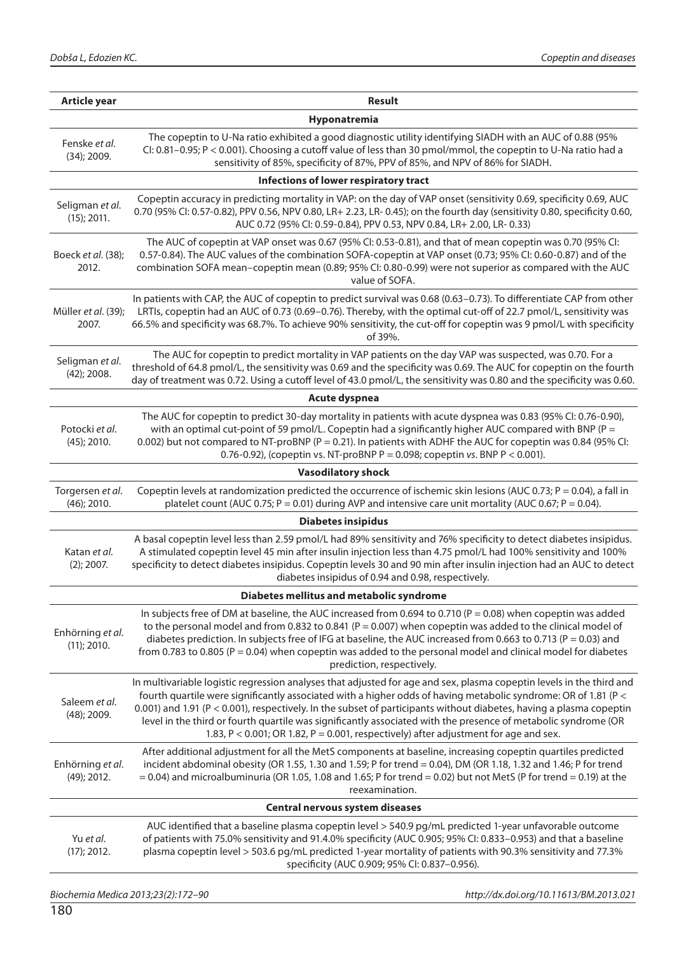| Article year                       | <b>Result</b>                                                                                                                                                                                                                                                                                                                                                                                                                                                                                                                                                           |
|------------------------------------|-------------------------------------------------------------------------------------------------------------------------------------------------------------------------------------------------------------------------------------------------------------------------------------------------------------------------------------------------------------------------------------------------------------------------------------------------------------------------------------------------------------------------------------------------------------------------|
|                                    | Hyponatremia                                                                                                                                                                                                                                                                                                                                                                                                                                                                                                                                                            |
| Fenske et al.<br>$(34)$ ; 2009.    | The copeptin to U-Na ratio exhibited a good diagnostic utility identifying SIADH with an AUC of 0.88 (95%<br>CI: 0.81-0.95; P < 0.001). Choosing a cutoff value of less than 30 pmol/mmol, the copeptin to U-Na ratio had a<br>sensitivity of 85%, specificity of 87%, PPV of 85%, and NPV of 86% for SIADH.                                                                                                                                                                                                                                                            |
|                                    | Infections of lower respiratory tract                                                                                                                                                                                                                                                                                                                                                                                                                                                                                                                                   |
| Seligman et al.<br>$(15)$ ; 2011.  | Copeptin accuracy in predicting mortality in VAP: on the day of VAP onset (sensitivity 0.69, specificity 0.69, AUC<br>0.70 (95% CI: 0.57-0.82), PPV 0.56, NPV 0.80, LR+ 2.23, LR- 0.45); on the fourth day (sensitivity 0.80, specificity 0.60,<br>AUC 0.72 (95% CI: 0.59-0.84), PPV 0.53, NPV 0.84, LR+ 2.00, LR- 0.33)                                                                                                                                                                                                                                                |
| Boeck et al. (38);<br>2012.        | The AUC of copeptin at VAP onset was 0.67 (95% CI: 0.53-0.81), and that of mean copeptin was 0.70 (95% CI:<br>0.57-0.84). The AUC values of the combination SOFA-copeptin at VAP onset (0.73; 95% CI: 0.60-0.87) and of the<br>combination SOFA mean-copeptin mean (0.89; 95% CI: 0.80-0.99) were not superior as compared with the AUC<br>value of SOFA.                                                                                                                                                                                                               |
| Müller et al. (39);<br>2007.       | In patients with CAP, the AUC of copeptin to predict survival was 0.68 (0.63-0.73). To differentiate CAP from other<br>LRTIs, copeptin had an AUC of 0.73 (0.69-0.76). Thereby, with the optimal cut-off of 22.7 pmol/L, sensitivity was<br>66.5% and specificity was 68.7%. To achieve 90% sensitivity, the cut-off for copeptin was 9 pmol/L with specificity<br>of 39%.                                                                                                                                                                                              |
| Seligman et al.<br>$(42)$ ; 2008.  | The AUC for copeptin to predict mortality in VAP patients on the day VAP was suspected, was 0.70. For a<br>threshold of 64.8 pmol/L, the sensitivity was 0.69 and the specificity was 0.69. The AUC for copeptin on the fourth<br>day of treatment was 0.72. Using a cutoff level of 43.0 pmol/L, the sensitivity was 0.80 and the specificity was 0.60.                                                                                                                                                                                                                |
|                                    | Acute dyspnea                                                                                                                                                                                                                                                                                                                                                                                                                                                                                                                                                           |
| Potocki et al.<br>$(45)$ ; 2010.   | The AUC for copeptin to predict 30-day mortality in patients with acute dyspnea was 0.83 (95% CI: 0.76-0.90),<br>with an optimal cut-point of 59 pmol/L. Copeptin had a significantly higher AUC compared with BNP ( $P =$<br>0.002) but not compared to NT-proBNP (P = 0.21). In patients with ADHF the AUC for copeptin was 0.84 (95% CI:<br>0.76-0.92), (copeptin vs. NT-proBNP P = 0.098; copeptin vs. BNP P < 0.001).                                                                                                                                              |
|                                    | <b>Vasodilatory shock</b>                                                                                                                                                                                                                                                                                                                                                                                                                                                                                                                                               |
| Torgersen et al.<br>$(46)$ ; 2010. | Copeptin levels at randomization predicted the occurrence of ischemic skin lesions (AUC 0.73; P = 0.04), a fall in<br>platelet count (AUC 0.75; $P = 0.01$ ) during AVP and intensive care unit mortality (AUC 0.67; $P = 0.04$ ).                                                                                                                                                                                                                                                                                                                                      |
|                                    | <b>Diabetes insipidus</b>                                                                                                                                                                                                                                                                                                                                                                                                                                                                                                                                               |
| Katan et al.<br>$(2)$ ; 2007.      | A basal copeptin level less than 2.59 pmol/L had 89% sensitivity and 76% specificity to detect diabetes insipidus.<br>A stimulated copeptin level 45 min after insulin injection less than 4.75 pmol/L had 100% sensitivity and 100%<br>specificity to detect diabetes insipidus. Copeptin levels 30 and 90 min after insulin injection had an AUC to detect<br>diabetes insipidus of 0.94 and 0.98, respectively.                                                                                                                                                      |
|                                    | Diabetes mellitus and metabolic syndrome                                                                                                                                                                                                                                                                                                                                                                                                                                                                                                                                |
| Enhörning et al.<br>$(11)$ ; 2010. | In subjects free of DM at baseline, the AUC increased from 0.694 to 0.710 ( $P = 0.08$ ) when copeptin was added<br>to the personal model and from 0.832 to 0.841 ( $P = 0.007$ ) when copeptin was added to the clinical model of<br>diabetes prediction. In subjects free of IFG at baseline, the AUC increased from 0.663 to 0.713 (P = 0.03) and<br>from 0.783 to 0.805 ( $P = 0.04$ ) when copeptin was added to the personal model and clinical model for diabetes<br>prediction, respectively.                                                                   |
| Saleem et al.<br>$(48)$ ; 2009.    | In multivariable logistic regression analyses that adjusted for age and sex, plasma copeptin levels in the third and<br>fourth quartile were significantly associated with a higher odds of having metabolic syndrome: OR of 1.81 (P <<br>0.001) and 1.91 (P < 0.001), respectively. In the subset of participants without diabetes, having a plasma copeptin<br>level in the third or fourth quartile was significantly associated with the presence of metabolic syndrome (OR<br>1.83, P < 0.001; OR 1.82, P = 0.001, respectively) after adjustment for age and sex. |
| Enhörning et al.<br>$(49)$ ; 2012. | After additional adjustment for all the MetS components at baseline, increasing copeptin quartiles predicted<br>incident abdominal obesity (OR 1.55, 1.30 and 1.59; P for trend = 0.04), DM (OR 1.18, 1.32 and 1.46; P for trend<br>$= 0.04$ ) and microalbuminuria (OR 1.05, 1.08 and 1.65; P for trend $= 0.02$ ) but not MetS (P for trend $= 0.19$ ) at the<br>reexamination.                                                                                                                                                                                       |
|                                    | Central nervous system diseases                                                                                                                                                                                                                                                                                                                                                                                                                                                                                                                                         |
| Yu et al.<br>$(17)$ ; 2012.        | AUC identified that a baseline plasma copeptin level > 540.9 pg/mL predicted 1-year unfavorable outcome<br>of patients with 75.0% sensitivity and 91.4.0% specificity (AUC 0.905; 95% CI: 0.833-0.953) and that a baseline<br>plasma copeptin level > 503.6 pg/mL predicted 1-year mortality of patients with 90.3% sensitivity and 77.3%<br>specificity (AUC 0.909; 95% CI: 0.837-0.956).                                                                                                                                                                              |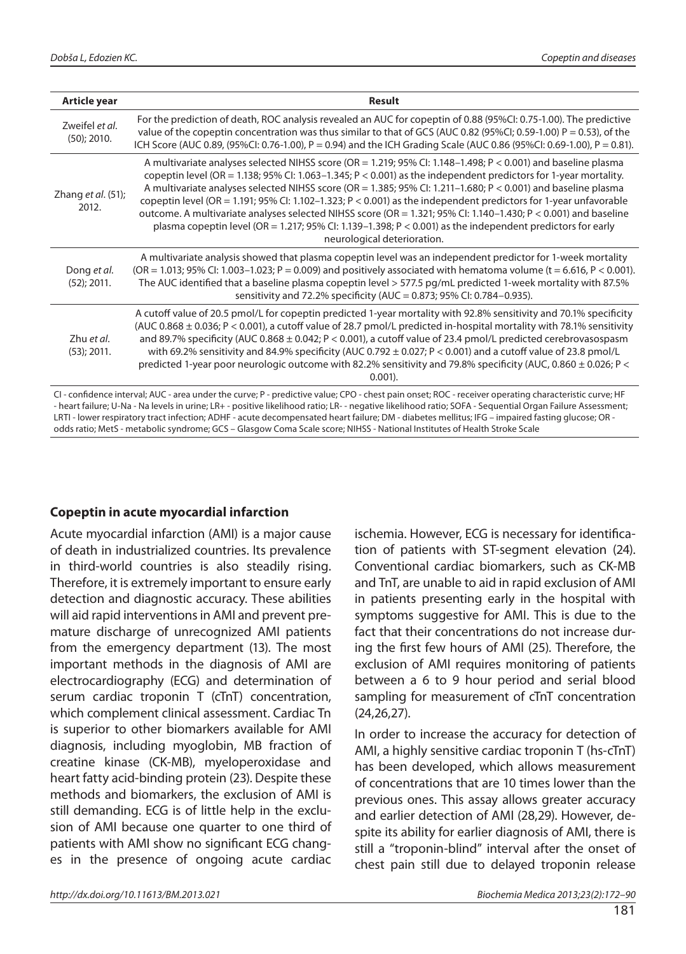| Article year                     | Result                                                                                                                                                                                                                                                                                                                                                                                                                                                                                                                                                                                                                                                                                                                                      |
|----------------------------------|---------------------------------------------------------------------------------------------------------------------------------------------------------------------------------------------------------------------------------------------------------------------------------------------------------------------------------------------------------------------------------------------------------------------------------------------------------------------------------------------------------------------------------------------------------------------------------------------------------------------------------------------------------------------------------------------------------------------------------------------|
| Zweifel et al.<br>$(50)$ ; 2010. | For the prediction of death, ROC analysis revealed an AUC for copeptin of 0.88 (95%CI: 0.75-1.00). The predictive<br>value of the copeptin concentration was thus similar to that of GCS (AUC 0.82 (95%Cl; 0.59-1.00) P = 0.53), of the<br>ICH Score (AUC 0.89, (95%CI: 0.76-1.00), P = 0.94) and the ICH Grading Scale (AUC 0.86 (95%CI: 0.69-1.00), P = 0.81).                                                                                                                                                                                                                                                                                                                                                                            |
| Zhang et al. (51);<br>2012.      | A multivariate analyses selected NIHSS score (OR = 1.219; 95% CI: 1.148-1.498; P < 0.001) and baseline plasma<br>copeptin level (OR = 1.138; 95% CI: 1.063–1.345; $P < 0.001$ ) as the independent predictors for 1-year mortality.<br>A multivariate analyses selected NIHSS score (OR = 1.385; 95% CI: 1.211-1.680; P < 0.001) and baseline plasma<br>copeptin level (OR = 1.191; 95% CI: 1.102-1.323; P < 0.001) as the independent predictors for 1-year unfavorable<br>outcome. A multivariate analyses selected NIHSS score (OR = 1.321; 95% CI: 1.140-1.430; P < 0.001) and baseline<br>plasma copeptin level (OR = 1.217; 95% CI: 1.139–1.398; $P < 0.001$ ) as the independent predictors for early<br>neurological deterioration. |
| Dong et al.<br>$(52)$ ; 2011.    | A multivariate analysis showed that plasma copeptin level was an independent predictor for 1-week mortality<br>(OR = 1.013; 95% CI: 1.003-1.023; P = 0.009) and positively associated with hematoma volume (t = 6.616, P < 0.001).<br>The AUC identified that a baseline plasma copeptin level > 577.5 pg/mL predicted 1-week mortality with 87.5%<br>sensitivity and 72.2% specificity (AUC = 0.873; 95% CI: 0.784-0.935).                                                                                                                                                                                                                                                                                                                 |
| Zhu et al.<br>$(53)$ ; 2011.     | A cutoff value of 20.5 pmol/L for copeptin predicted 1-year mortality with 92.8% sensitivity and 70.1% specificity<br>(AUC 0.868 $\pm$ 0.036; P < 0.001), a cutoff value of 28.7 pmol/L predicted in-hospital mortality with 78.1% sensitivity<br>and 89.7% specificity (AUC 0.868 $\pm$ 0.042; P < 0.001), a cutoff value of 23.4 pmol/L predicted cerebrovasospasm<br>with 69.2% sensitivity and 84.9% specificity (AUC 0.792 $\pm$ 0.027; P < 0.001) and a cutoff value of 23.8 pmol/L<br>predicted 1-year poor neurologic outcome with 82.2% sensitivity and 79.8% specificity (AUC, 0.860 ± 0.026; P <<br>$0.001$ ).                                                                                                                   |
|                                  | CI - confidence interval; AUC - area under the curve; P - predictive value; CPO - chest pain onset; ROC - receiver operating characteristic curve; HF<br>- heart failure; U-Na - Na levels in urine; LR+ - positive likelihood ratio; LR- - negative likelihood ratio; SOFA - Seguential Organ Failure Assessment;                                                                                                                                                                                                                                                                                                                                                                                                                          |

- heart failure; U-Na - Na levels in urine; LR+ - positive likelihood ratio; LR- - negative likelihood ratio; SOFA - Sequential Organ Failure Assessment; LRTI - lower respiratory tract infection; ADHF - acute decompensated heart failure; DM - diabetes mellitus; IFG – impaired fasting glucose; OR odds ratio; MetS - metabolic syndrome; GCS – Glasgow Coma Scale score; NIHSS - National Institutes of Health Stroke Scale

#### **Copeptin in acute myocardial infarction**

Acute myocardial infarction (AMI) is a major cause of death in industrialized countries. Its prevalence in third-world countries is also steadily rising. Therefore, it is extremely important to ensure early detection and diagnostic accuracy. These abilities will aid rapid interventions in AMI and prevent premature discharge of unrecognized AMI patients from the emergency department (13). The most important methods in the diagnosis of AMI are electrocardiography (ECG) and determination of serum cardiac troponin T (cTnT) concentration, which complement clinical assessment. Cardiac Tn is superior to other biomarkers available for AMI diagnosis, including myoglobin, MB fraction of creatine kinase (CK-MB), myeloperoxidase and heart fatty acid-binding protein (23). Despite these methods and biomarkers, the exclusion of AMI is still demanding. ECG is of little help in the exclusion of AMI because one quarter to one third of patients with AMI show no significant ECG changes in the presence of ongoing acute cardiac ischemia. However, ECG is necessary for identification of patients with ST-segment elevation (24). Conventional cardiac biomarkers, such as CK-MB and TnT, are unable to aid in rapid exclusion of AMI in patients presenting early in the hospital with symptoms suggestive for AMI. This is due to the fact that their concentrations do not increase during the first few hours of AMI (25). Therefore, the exclusion of AMI requires monitoring of patients between a 6 to 9 hour period and serial blood sampling for measurement of cTnT concentration (24,26,27).

In order to increase the accuracy for detection of AMI, a highly sensitive cardiac troponin T (hs-cTnT) has been developed, which allows measurement of concentrations that are 10 times lower than the previous ones. This assay allows greater accuracy and earlier detection of AMI (28,29). However, despite its ability for earlier diagnosis of AMI, there is still a "troponin-blind" interval after the onset of chest pain still due to delayed troponin release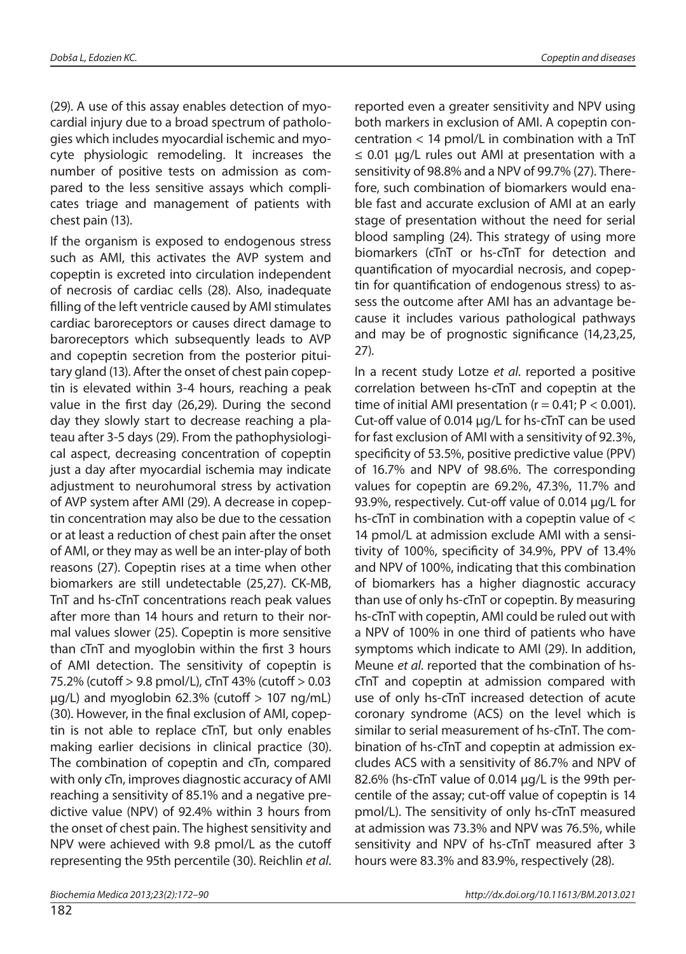(29). A use of this assay enables detection of myocardial injury due to a broad spectrum of pathologies which includes myocardial ischemic and myocyte physiologic remodeling. It increases the number of positive tests on admission as compared to the less sensitive assays which complicates triage and management of patients with chest pain (13).

If the organism is exposed to endogenous stress such as AMI, this activates the AVP system and copeptin is excreted into circulation independent of necrosis of cardiac cells (28). Also, inadequate filling of the left ventricle caused by AMI stimulates cardiac baroreceptors or causes direct damage to baroreceptors which subsequently leads to AVP and copeptin secretion from the posterior pituitary gland (13). After the onset of chest pain copeptin is elevated within 3-4 hours, reaching a peak value in the first day  $(26, 29)$ . During the second day they slowly start to decrease reaching a plateau after 3-5 days (29). From the pathophysiological aspect, decreasing concentration of copeptin just a day after myocardial ischemia may indicate adjustment to neurohumoral stress by activation of AVP system after AMI (29). A decrease in copeptin concentration may also be due to the cessation or at least a reduction of chest pain after the onset of AMI, or they may as well be an inter-play of both reasons (27). Copeptin rises at a time when other biomarkers are still undetectable (25,27). CK-MB, TnT and hs-cTnT concentrations reach peak values after more than 14 hours and return to their normal values slower (25). Copeptin is more sensitive than cTnT and myoglobin within the first 3 hours of AMI detection. The sensitivity of copeptin is 75.2% (cutoff > 9.8 pmol/L), cTnT 43% (cutoff > 0.03  $\mu$ g/L) and myoglobin 62.3% (cutoff  $> 107$  ng/mL) (30). However, in the final exclusion of AMI, copeptin is not able to replace cTnT, but only enables making earlier decisions in clinical practice (30). The combination of copeptin and cTn, compared with only cTn, improves diagnostic accuracy of AMI reaching a sensitivity of 85.1% and a negative predictive value (NPV) of 92.4% within 3 hours from the onset of chest pain. The highest sensitivity and NPV were achieved with 9.8 pmol/L as the cutoff representing the 95th percentile (30). Reichlin et al.

reported even a greater sensitivity and NPV using both markers in exclusion of AMI. A copeptin concentration < 14 pmol/L in combination with a TnT  $\leq$  0.01 µg/L rules out AMI at presentation with a sensitivity of 98.8% and a NPV of 99.7% (27). Therefore, such combination of biomarkers would enable fast and accurate exclusion of AMI at an early stage of presentation without the need for serial blood sampling (24). This strategy of using more biomarkers (cTnT or hs-cTnT for detection and quantifi cation of myocardial necrosis, and copeptin for quantification of endogenous stress) to assess the outcome after AMI has an advantage because it includes various pathological pathways and may be of prognostic significance (14,23,25, 27).

In a recent study Lotze et al. reported a positive correlation between hs-cTnT and copeptin at the time of initial AMI presentation ( $r = 0.41$ ;  $P < 0.001$ ). Cut-off value of 0.014 µg/L for hs-cTnT can be used for fast exclusion of AMI with a sensitivity of 92.3%, specificity of 53.5%, positive predictive value (PPV) of 16.7% and NPV of 98.6%. The corresponding values for copeptin are 69.2%, 47.3%, 11.7% and 93.9%, respectively. Cut-off value of 0.014 µg/L for hs-cTnT in combination with a copeptin value of < 14 pmol/L at admission exclude AMI with a sensitivity of 100%, specificity of 34.9%, PPV of 13.4% and NPV of 100%, indicating that this combination of biomarkers has a higher diagnostic accuracy than use of only hs-cTnT or copeptin. By measuring hs-cTnT with copeptin, AMI could be ruled out with a NPV of 100% in one third of patients who have symptoms which indicate to AMI (29). In addition, Meune et al. reported that the combination of hscTnT and copeptin at admission compared with use of only hs-cTnT increased detection of acute coronary syndrome (ACS) on the level which is similar to serial measurement of hs-cTnT. The combination of hs-cTnT and copeptin at admission excludes ACS with a sensitivity of 86.7% and NPV of 82.6% (hs-cTnT value of 0.014 μg/L is the 99th percentile of the assay; cut-off value of copeptin is 14 pmol/L). The sensitivity of only hs-cTnT measured at admission was 73.3% and NPV was 76.5%, while sensitivity and NPV of hs-cTnT measured after 3 hours were 83.3% and 83.9%, respectively (28).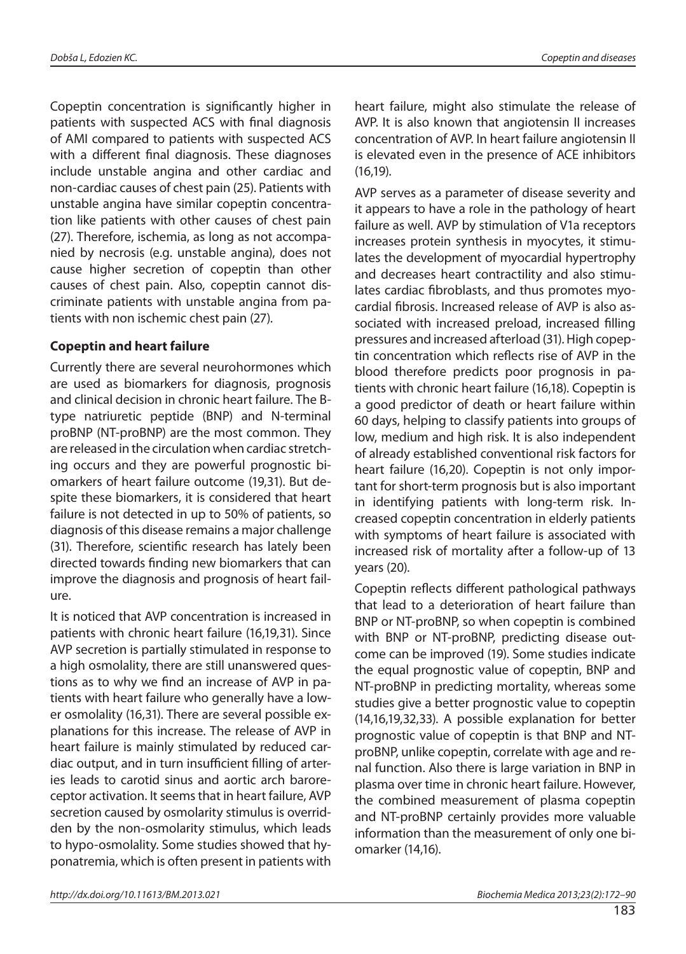Copeptin concentration is significantly higher in patients with suspected ACS with final diagnosis of AMI compared to patients with suspected ACS with a different final diagnosis. These diagnoses include unstable angina and other cardiac and non-cardiac causes of chest pain (25). Patients with unstable angina have similar copeptin concentration like patients with other causes of chest pain (27). Therefore, ischemia, as long as not accompanied by necrosis (e.g. unstable angina), does not cause higher secretion of copeptin than other causes of chest pain. Also, copeptin cannot discriminate patients with unstable angina from patients with non ischemic chest pain (27).

#### **Copeptin and heart failure**

Currently there are several neurohormones which are used as biomarkers for diagnosis, prognosis and clinical decision in chronic heart failure. The Btype natriuretic peptide (BNP) and N-terminal proBNP (NT-proBNP) are the most common. They are released in the circulation when cardiac stretching occurs and they are powerful prognostic biomarkers of heart failure outcome (19,31). But despite these biomarkers, it is considered that heart failure is not detected in up to 50% of patients, so diagnosis of this disease remains a major challenge (31). Therefore, scientific research has lately been directed towards finding new biomarkers that can improve the diagnosis and prognosis of heart failure.

It is noticed that AVP concentration is increased in patients with chronic heart failure (16,19,31). Since AVP secretion is partially stimulated in response to a high osmolality, there are still unanswered questions as to why we find an increase of AVP in patients with heart failure who generally have a lower osmolality (16,31). There are several possible explanations for this increase. The release of AVP in heart failure is mainly stimulated by reduced cardiac output, and in turn insufficient filling of arteries leads to carotid sinus and aortic arch baroreceptor activation. It seems that in heart failure, AVP secretion caused by osmolarity stimulus is overridden by the non-osmolarity stimulus, which leads to hypo-osmolality. Some studies showed that hyponatremia, which is often present in patients with

heart failure, might also stimulate the release of AVP. It is also known that angiotensin II increases concentration of AVP. In heart failure angiotensin II is elevated even in the presence of ACE inhibitors (16,19).

AVP serves as a parameter of disease severity and it appears to have a role in the pathology of heart failure as well. AVP by stimulation of V1a receptors increases protein synthesis in myocytes, it stimulates the development of myocardial hypertrophy and decreases heart contractility and also stimulates cardiac fibroblasts, and thus promotes myocardial fibrosis. Increased release of AVP is also associated with increased preload, increased filling pressures and increased afterload (31). High copeptin concentration which reflects rise of AVP in the blood therefore predicts poor prognosis in patients with chronic heart failure (16,18). Copeptin is a good predictor of death or heart failure within 60 days, helping to classify patients into groups of low, medium and high risk. It is also independent of already established conventional risk factors for heart failure (16,20). Copeptin is not only important for short-term prognosis but is also important in identifying patients with long-term risk. Increased copeptin concentration in elderly patients with symptoms of heart failure is associated with increased risk of mortality after a follow-up of 13 years (20).

Copeptin reflects different pathological pathways that lead to a deterioration of heart failure than BNP or NT-proBNP, so when copeptin is combined with BNP or NT-proBNP, predicting disease outcome can be improved (19). Some studies indicate the equal prognostic value of copeptin, BNP and NT-proBNP in predicting mortality, whereas some studies give a better prognostic value to copeptin (14,16,19,32,33). A possible explanation for better prognostic value of copeptin is that BNP and NTproBNP, unlike copeptin, correlate with age and renal function. Also there is large variation in BNP in plasma over time in chronic heart failure. However, the combined measurement of plasma copeptin and NT-proBNP certainly provides more valuable information than the measurement of only one biomarker (14,16).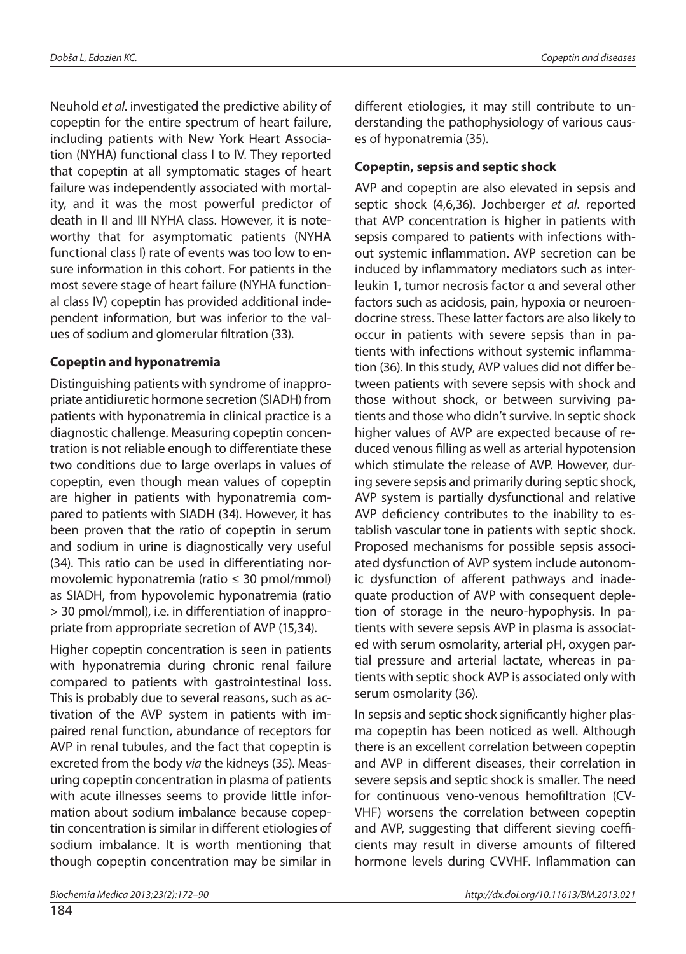Neuhold et al. investigated the predictive ability of copeptin for the entire spectrum of heart failure, including patients with New York Heart Association (NYHA) functional class I to IV. They reported that copeptin at all symptomatic stages of heart failure was independently associated with mortality, and it was the most powerful predictor of death in II and III NYHA class. However, it is noteworthy that for asymptomatic patients (NYHA functional class I) rate of events was too low to ensure information in this cohort. For patients in the most severe stage of heart failure (NYHA functional class IV) copeptin has provided additional independent information, but was inferior to the values of sodium and glomerular filtration (33).

#### **Copeptin and hyponatremia**

Distinguishing patients with syndrome of inappropriate antidiuretic hormone secretion (SIADH) from patients with hyponatremia in clinical practice is a diagnostic challenge. Measuring copeptin concentration is not reliable enough to differentiate these two conditions due to large overlaps in values of copeptin, even though mean values of copeptin are higher in patients with hyponatremia compared to patients with SIADH (34). However, it has been proven that the ratio of copeptin in serum and sodium in urine is diagnostically very useful (34). This ratio can be used in differentiating normovolemic hyponatremia (ratio ≤ 30 pmol/mmol) as SIADH, from hypovolemic hyponatremia (ratio  $>$  30 pmol/mmol), i.e. in differentiation of inappropriate from appropriate secretion of AVP (15,34).

Higher copeptin concentration is seen in patients with hyponatremia during chronic renal failure compared to patients with gastrointestinal loss. This is probably due to several reasons, such as activation of the AVP system in patients with impaired renal function, abundance of receptors for AVP in renal tubules, and the fact that copeptin is excreted from the body via the kidneys (35). Measuring copeptin concentration in plasma of patients with acute illnesses seems to provide little information about sodium imbalance because copeptin concentration is similar in different etiologies of sodium imbalance. It is worth mentioning that though copeptin concentration may be similar in

different etiologies, it may still contribute to understanding the pathophysiology of various causes of hyponatremia (35).

#### **Copeptin, sepsis and septic shock**

AVP and copeptin are also elevated in sepsis and septic shock (4,6,36). Jochberger et al. reported that AVP concentration is higher in patients with sepsis compared to patients with infections without systemic inflammation. AVP secretion can be induced by inflammatory mediators such as interleukin 1, tumor necrosis factor α and several other factors such as acidosis, pain, hypoxia or neuroendocrine stress. These latter factors are also likely to occur in patients with severe sepsis than in patients with infections without systemic inflammation (36). In this study, AVP values did not differ between patients with severe sepsis with shock and those without shock, or between surviving patients and those who didn't survive. In septic shock higher values of AVP are expected because of reduced venous filling as well as arterial hypotension which stimulate the release of AVP. However, during severe sepsis and primarily during septic shock, AVP system is partially dysfunctional and relative AVP deficiency contributes to the inability to establish vascular tone in patients with septic shock. Proposed mechanisms for possible sepsis associated dysfunction of AVP system include autonomic dysfunction of afferent pathways and inadequate production of AVP with consequent depletion of storage in the neuro-hypophysis. In patients with severe sepsis AVP in plasma is associated with serum osmolarity, arterial pH, oxygen partial pressure and arterial lactate, whereas in patients with septic shock AVP is associated only with serum osmolarity (36).

In sepsis and septic shock significantly higher plasma copeptin has been noticed as well. Although there is an excellent correlation between copeptin and AVP in different diseases, their correlation in severe sepsis and septic shock is smaller. The need for continuous veno-venous hemofiltration (CV-VHF) worsens the correlation between copeptin and AVP, suggesting that different sieving coefficients may result in diverse amounts of filtered hormone levels during CVVHF. Inflammation can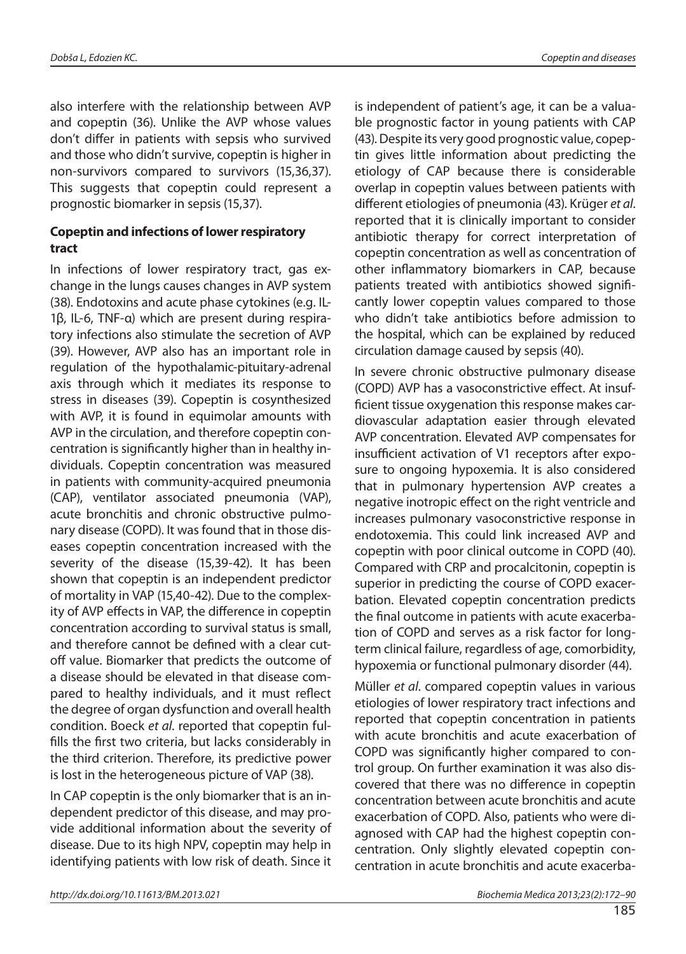also interfere with the relationship between AVP and copeptin (36). Unlike the AVP whose values don't differ in patients with sepsis who survived and those who didn't survive, copeptin is higher in non-survivors compared to survivors (15,36,37). This suggests that copeptin could represent a prognostic biomarker in sepsis (15,37).

#### **Copeptin and infections of lower respiratory tract**

In infections of lower respiratory tract, gas exchange in the lungs causes changes in AVP system (38). Endotoxins and acute phase cytokines (e.g. IL-1β, IL-6, TNF-α) which are present during respiratory infections also stimulate the secretion of AVP (39). However, AVP also has an important role in regulation of the hypothalamic-pituitary-adrenal axis through which it mediates its response to stress in diseases (39). Copeptin is cosynthesized with AVP, it is found in equimolar amounts with AVP in the circulation, and therefore copeptin concentration is significantly higher than in healthy individuals. Copeptin concentration was measured in patients with community-acquired pneumonia (CAP), ventilator associated pneumonia (VAP), acute bronchitis and chronic obstructive pulmonary disease (COPD). It was found that in those diseases copeptin concentration increased with the severity of the disease (15,39-42). It has been shown that copeptin is an independent predictor of mortality in VAP (15,40-42). Due to the complexity of AVP effects in VAP, the difference in copeptin concentration according to survival status is small, and therefore cannot be defined with a clear cutoff value. Biomarker that predicts the outcome of a disease should be elevated in that disease compared to healthy individuals, and it must reflect the degree of organ dysfunction and overall health condition. Boeck et al. reported that copeptin fulfills the first two criteria, but lacks considerably in the third criterion. Therefore, its predictive power is lost in the heterogeneous picture of VAP (38).

In CAP copeptin is the only biomarker that is an independent predictor of this disease, and may provide additional information about the severity of disease. Due to its high NPV, copeptin may help in identifying patients with low risk of death. Since it

is independent of patient's age, it can be a valuable prognostic factor in young patients with CAP (43). Despite its very good prognostic value, copeptin gives little information about predicting the etiology of CAP because there is considerable overlap in copeptin values between patients with different etiologies of pneumonia (43). Krüger et al. reported that it is clinically important to consider antibiotic therapy for correct interpretation of copeptin concentration as well as concentration of other inflammatory biomarkers in CAP, because patients treated with antibiotics showed significantly lower copeptin values compared to those who didn't take antibiotics before admission to the hospital, which can be explained by reduced circulation damage caused by sepsis (40).

In severe chronic obstructive pulmonary disease (COPD) AVP has a vasoconstrictive effect. At insufficient tissue oxygenation this response makes cardiovascular adaptation easier through elevated AVP concentration. Elevated AVP compensates for insufficient activation of V1 receptors after exposure to ongoing hypoxemia. It is also considered that in pulmonary hypertension AVP creates a negative inotropic effect on the right ventricle and increases pulmonary vasoconstrictive response in endotoxemia. This could link increased AVP and copeptin with poor clinical outcome in COPD (40). Compared with CRP and procalcitonin, copeptin is superior in predicting the course of COPD exacerbation. Elevated copeptin concentration predicts the final outcome in patients with acute exacerbation of COPD and serves as a risk factor for longterm clinical failure, regardless of age, comorbidity, hypoxemia or functional pulmonary disorder (44).

Müller et al. compared copeptin values in various etiologies of lower respiratory tract infections and reported that copeptin concentration in patients with acute bronchitis and acute exacerbation of COPD was significantly higher compared to control group. On further examination it was also discovered that there was no difference in copeptin concentration between acute bronchitis and acute exacerbation of COPD. Also, patients who were diagnosed with CAP had the highest copeptin concentration. Only slightly elevated copeptin concentration in acute bronchitis and acute exacerba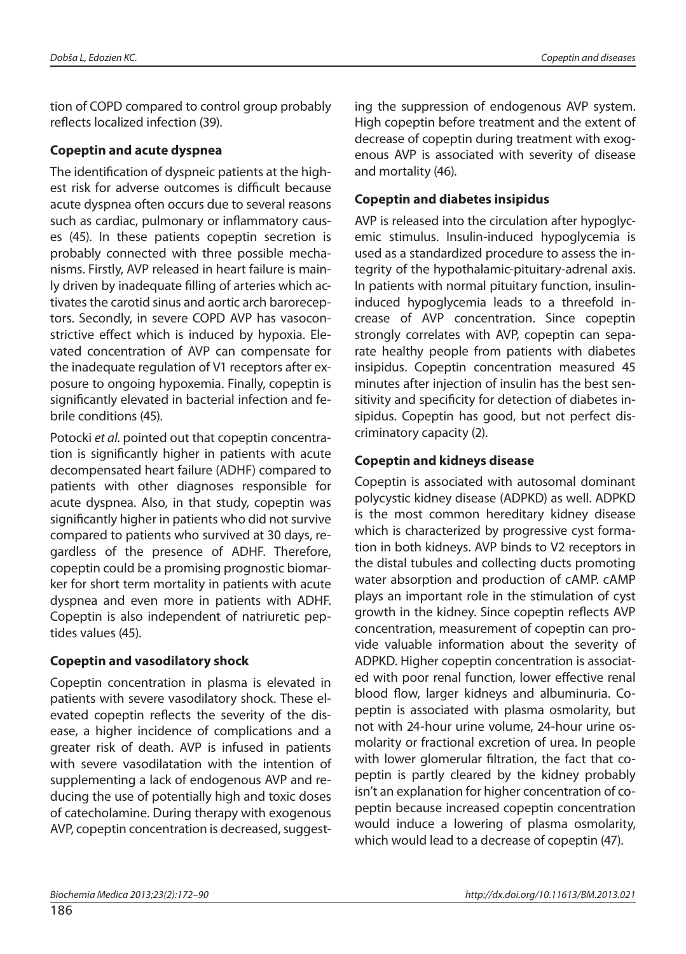tion of COPD compared to control group probably reflects localized infection (39).

#### **Copeptin and acute dyspnea**

The identification of dyspneic patients at the highest risk for adverse outcomes is difficult because acute dyspnea often occurs due to several reasons such as cardiac, pulmonary or inflammatory causes (45). In these patients copeptin secretion is probably connected with three possible mechanisms. Firstly, AVP released in heart failure is mainly driven by inadequate filling of arteries which activates the carotid sinus and aortic arch baroreceptors. Secondly, in severe COPD AVP has vasoconstrictive effect which is induced by hypoxia. Elevated concentration of AVP can compensate for the inadequate regulation of V1 receptors after exposure to ongoing hypoxemia. Finally, copeptin is significantly elevated in bacterial infection and febrile conditions (45).

Potocki et al. pointed out that copeptin concentration is significantly higher in patients with acute decompensated heart failure (ADHF) compared to patients with other diagnoses responsible for acute dyspnea. Also, in that study, copeptin was significantly higher in patients who did not survive compared to patients who survived at 30 days, regardless of the presence of ADHF. Therefore, copeptin could be a promising prognostic biomarker for short term mortality in patients with acute dyspnea and even more in patients with ADHF. Copeptin is also independent of natriuretic peptides values (45).

### **Copeptin and vasodilatory shock**

Copeptin concentration in plasma is elevated in patients with severe vasodilatory shock. These elevated copeptin reflects the severity of the disease, a higher incidence of complications and a greater risk of death. AVP is infused in patients with severe vasodilatation with the intention of supplementing a lack of endogenous AVP and reducing the use of potentially high and toxic doses of catecholamine. During therapy with exogenous AVP, copeptin concentration is decreased, suggesting the suppression of endogenous AVP system. High copeptin before treatment and the extent of decrease of copeptin during treatment with exogenous AVP is associated with severity of disease and mortality (46).

### **Copeptin and diabetes insipidus**

AVP is released into the circulation after hypoglycemic stimulus. Insulin-induced hypoglycemia is used as a standardized procedure to assess the integrity of the hypothalamic-pituitary-adrenal axis. In patients with normal pituitary function, insulininduced hypoglycemia leads to a threefold increase of AVP concentration. Since copeptin strongly correlates with AVP, copeptin can separate healthy people from patients with diabetes insipidus. Copeptin concentration measured 45 minutes after injection of insulin has the best sensitivity and specificity for detection of diabetes insipidus. Copeptin has good, but not perfect discriminatory capacity (2).

### **Copeptin and kidneys disease**

Copeptin is associated with autosomal dominant polycystic kidney disease (ADPKD) as well. ADPKD is the most common hereditary kidney disease which is characterized by progressive cyst formation in both kidneys. AVP binds to V2 receptors in the distal tubules and collecting ducts promoting water absorption and production of cAMP. cAMP plays an important role in the stimulation of cyst growth in the kidney. Since copeptin reflects AVP concentration, measurement of copeptin can provide valuable information about the severity of ADPKD. Higher copeptin concentration is associated with poor renal function, lower effective renal blood flow, larger kidneys and albuminuria. Copeptin is associated with plasma osmolarity, but not with 24-hour urine volume, 24-hour urine osmolarity or fractional excretion of urea. In people with lower glomerular filtration, the fact that copeptin is partly cleared by the kidney probably isn't an explanation for higher concentration of copeptin because increased copeptin concentration would induce a lowering of plasma osmolarity, which would lead to a decrease of copeptin (47).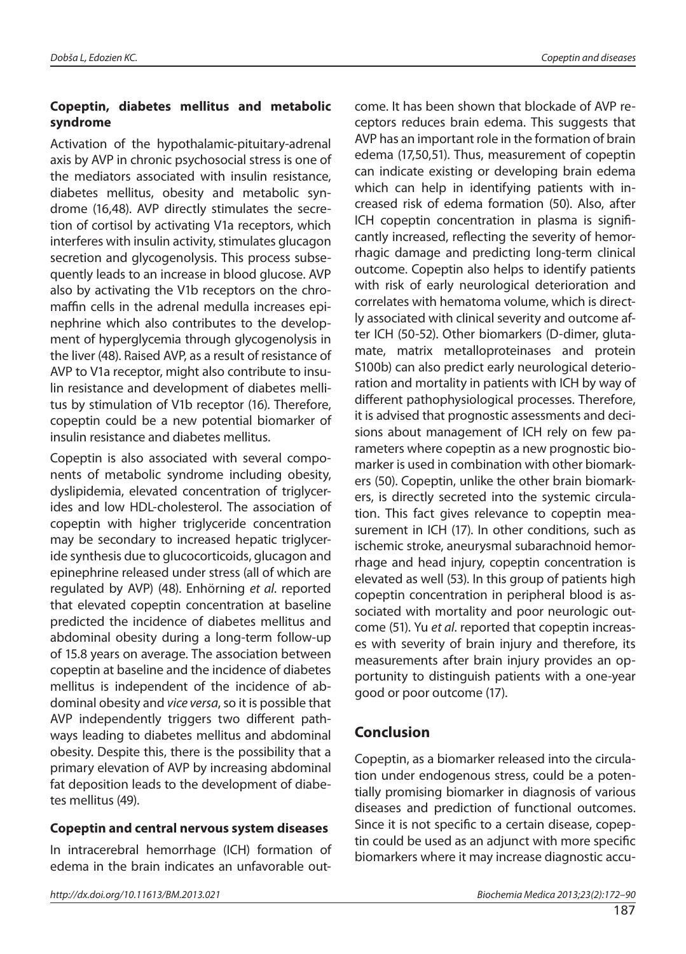## **Copeptin, diabetes mellitus and metabolic syndrome**

Activation of the hypothalamic-pituitary-adrenal axis by AVP in chronic psychosocial stress is one of the mediators associated with insulin resistance, diabetes mellitus, obesity and metabolic syndrome (16,48). AVP directly stimulates the secretion of cortisol by activating V1a receptors, which interferes with insulin activity, stimulates glucagon secretion and glycogenolysis. This process subsequently leads to an increase in blood glucose. AVP also by activating the V1b receptors on the chromaffin cells in the adrenal medulla increases epinephrine which also contributes to the development of hyperglycemia through glycogenolysis in the liver (48). Raised AVP, as a result of resistance of AVP to V1a receptor, might also contribute to insulin resistance and development of diabetes mellitus by stimulation of V1b receptor (16). Therefore, copeptin could be a new potential biomarker of insulin resistance and diabetes mellitus.

Copeptin is also associated with several components of metabolic syndrome including obesity, dyslipidemia, elevated concentration of triglycerides and low HDL-cholesterol. The association of copeptin with higher triglyceride concentration may be secondary to increased hepatic triglyceride synthesis due to glucocorticoids, glucagon and epinephrine released under stress (all of which are regulated by AVP) (48). Enhörning et al. reported that elevated copeptin concentration at baseline predicted the incidence of diabetes mellitus and abdominal obesity during a long-term follow-up of 15.8 years on average. The association between copeptin at baseline and the incidence of diabetes mellitus is independent of the incidence of abdominal obesity and vice versa, so it is possible that AVP independently triggers two different pathways leading to diabetes mellitus and abdominal obesity. Despite this, there is the possibility that a primary elevation of AVP by increasing abdominal fat deposition leads to the development of diabetes mellitus (49).

#### **Copeptin and central nervous system diseases**

In intracerebral hemorrhage (ICH) formation of edema in the brain indicates an unfavorable outcome. It has been shown that blockade of AVP receptors reduces brain edema. This suggests that AVP has an important role in the formation of brain edema (17,50,51). Thus, measurement of copeptin can indicate existing or developing brain edema which can help in identifying patients with increased risk of edema formation (50). Also, after ICH copeptin concentration in plasma is significantly increased, reflecting the severity of hemorrhagic damage and predicting long-term clinical outcome. Copeptin also helps to identify patients with risk of early neurological deterioration and correlates with hematoma volume, which is directly associated with clinical severity and outcome after ICH (50-52). Other biomarkers (D-dimer, glutamate, matrix metalloproteinases and protein S100b) can also predict early neurological deterioration and mortality in patients with ICH by way of different pathophysiological processes. Therefore, it is advised that prognostic assessments and decisions about management of ICH rely on few parameters where copeptin as a new prognostic biomarker is used in combination with other biomarkers (50). Copeptin, unlike the other brain biomarkers, is directly secreted into the systemic circulation. This fact gives relevance to copeptin measurement in ICH (17). In other conditions, such as ischemic stroke, aneurysmal subarachnoid hemorrhage and head injury, copeptin concentration is elevated as well (53). In this group of patients high copeptin concentration in peripheral blood is associated with mortality and poor neurologic outcome (51). Yu et al. reported that copeptin increases with severity of brain injury and therefore, its measurements after brain injury provides an opportunity to distinguish patients with a one-year good or poor outcome (17).

## **Conclusion**

Copeptin, as a biomarker released into the circulation under endogenous stress, could be a potentially promising biomarker in diagnosis of various diseases and prediction of functional outcomes. Since it is not specific to a certain disease, copeptin could be used as an adjunct with more specific biomarkers where it may increase diagnostic accu-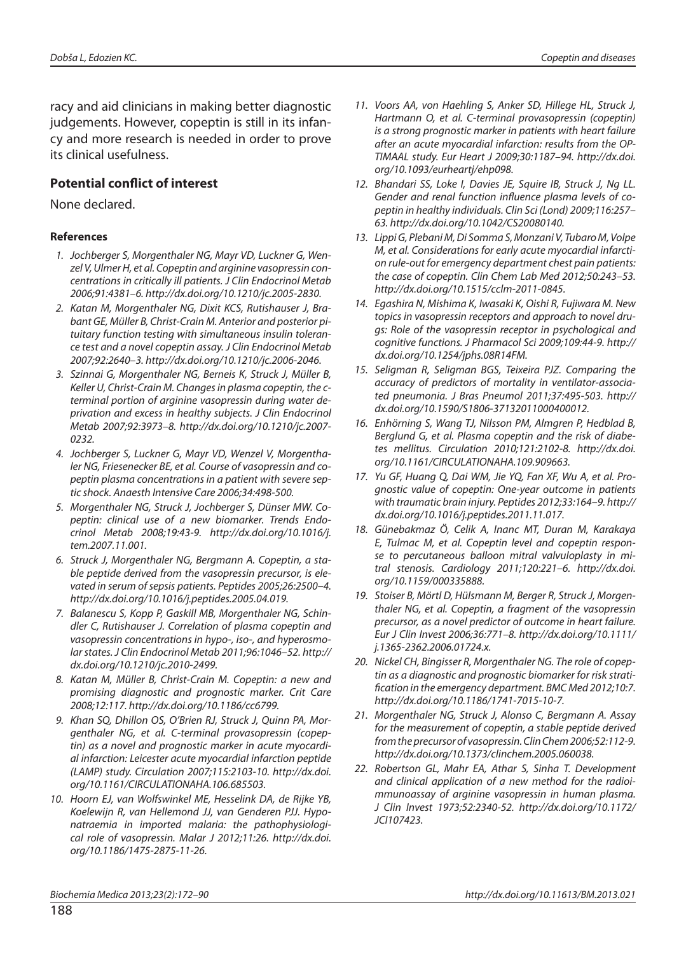racy and aid clinicians in making better diagnostic judgements. However, copeptin is still in its infancy and more research is needed in order to prove its clinical usefulness.

#### **Potential conflict of interest**

None declared.

#### **References**

- 1. Jochberger S, Morgenthaler NG, Mayr VD, Luckner G, Wenzel V, Ulmer H, et al. Copeptin and arginine vasopressin concentrations in critically ill patients. J Clin Endocrinol Metab 2006;91:4381–6. http://dx.doi.org/10.1210/jc.2005-2830.
- 2. Katan M, Morgenthaler NG, Dixit KCS, Rutishauser J, Brabant GE, Müller B, Christ-Crain M. Anterior and posterior pituitary function testing with simultaneous insulin tolerance test and a novel copeptin assay. J Clin Endocrinol Metab 2007;92:2640–3. http://dx.doi.org/10.1210/jc.2006-2046.
- 3. Szinnai G, Morgenthaler NG, Berneis K, Struck J, Müller B, Keller U, Christ-Crain M. Changes in plasma copeptin, the cterminal portion of arginine vasopressin during water deprivation and excess in healthy subjects. J Clin Endocrinol Metab 2007;92:3973–8. http://dx.doi.org/10.1210/jc.2007- 0232.
- 4. Jochberger S, Luckner G, Mayr VD, Wenzel V, Morgenthaler NG, Friesenecker BE, et al. Course of vasopressin and copeptin plasma concentrations in a patient with severe septic shock. Anaesth Intensive Care 2006;34:498-500.
- 5. Morgenthaler NG, Struck J, Jochberger S, Dünser MW. Copeptin: clinical use of a new biomarker. Trends Endocrinol Metab 2008;19:43-9. http://dx.doi.org/10.1016/j. tem.2007.11.001.
- 6. Struck J, Morgenthaler NG, Bergmann A. Copeptin, a stable peptide derived from the vasopressin precursor, is elevated in serum of sepsis patients. Peptides 2005;26:2500–4. http://dx.doi.org/10.1016/j.peptides.2005.04.019.
- 7. Balanescu S, Kopp P, Gaskill MB, Morgenthaler NG, Schindler C, Rutishauser J. Correlation of plasma copeptin and vasopressin concentrations in hypo-, iso-, and hyperosmolar states. J Clin Endocrinol Metab 2011;96:1046–52. http:// dx.doi.org/10.1210/jc.2010-2499.
- 8. Katan M, Müller B, Christ-Crain M. Copeptin: a new and promising diagnostic and prognostic marker. Crit Care 2008;12:117. http://dx.doi.org/10.1186/cc6799.
- 9. Khan SQ, Dhillon OS, O'Brien RJ, Struck J, Quinn PA, Morgenthaler NG, et al. C-terminal provasopressin (copeptin) as a novel and prognostic marker in acute myocardial infarction: Leicester acute myocardial infarction peptide (LAMP) study. Circulation 2007;115:2103-10. http://dx.doi. org/10.1161/CIRCULATIONAHA.106.685503.
- 10. Hoorn EJ, van Wolfswinkel ME, Hesselink DA, de Rijke YB, Koelewijn R, van Hellemond JJ, van Genderen PJJ. Hyponatraemia in imported malaria: the pathophysiological role of vasopressin. Malar J 2012;11:26. http://dx.doi. org/10.1186/1475-2875-11-26.
- 11. Voors AA, von Haehling S, Anker SD, Hillege HL, Struck J, Hartmann O, et al. C-terminal provasopressin (copeptin) is a strong prognostic marker in patients with heart failure after an acute myocardial infarction: results from the OP-TIMAAL study. Eur Heart J 2009;30:1187–94. http://dx.doi. org/10.1093/eurheartj/ehp098.
- 12. Bhandari SS, Loke I, Davies JE, Squire IB, Struck J, Ng LL. Gender and renal function influence plasma levels of copeptin in healthy individuals. Clin Sci (Lond) 2009;116:257– 63. http://dx.doi.org/10.1042/CS20080140.
- 13. Lippi G, Plebani M, Di Somma S, Monzani V, Tubaro M, Volpe M, et al. Considerations for early acute myocardial infarction rule-out for emergency department chest pain patients: the case of copeptin. Clin Chem Lab Med 2012;50:243–53. http://dx.doi.org/10.1515/cclm-2011-0845.
- 14. Egashira N, Mishima K, Iwasaki K, Oishi R, Fujiwara M. New topics in vasopressin receptors and approach to novel drugs: Role of the vasopressin receptor in psychological and cognitive functions. J Pharmacol Sci 2009;109:44-9. http:// dx.doi.org/10.1254/jphs.08R14FM.
- 15. Seligman R, Seligman BGS, Teixeira PJZ. Comparing the accuracy of predictors of mortality in ventilator-associated pneumonia. J Bras Pneumol 2011;37:495-503. http:// dx.doi.org/10.1590/S1806-37132011000400012.
- 16. Enhörning S, Wang TJ, Nilsson PM, Almgren P, Hedblad B, Berglund G, et al. Plasma copeptin and the risk of diabetes mellitus. Circulation 2010;121:2102-8. http://dx.doi. org/10.1161/CIRCULATIONAHA.109.909663.
- 17. Yu GF, Huang Q, Dai WM, Jie YQ, Fan XF, Wu A, et al. Prognostic value of copeptin: One-year outcome in patients with traumatic brain injury. Peptides 2012;33:164–9. http:// dx.doi.org/10.1016/j.peptides.2011.11.017.
- 18. Günebakmaz Ö, Celik A, Inanc MT, Duran M, Karakaya E, Tulmac M, et al. Copeptin level and copeptin response to percutaneous balloon mitral valvuloplasty in mitral stenosis. Cardiology 2011;120:221–6. http://dx.doi. org/10.1159/000335888.
- 19. Stoiser B, Mörtl D, Hülsmann M, Berger R, Struck J, Morgenthaler NG, et al. Copeptin, a fragment of the vasopressin precursor, as a novel predictor of outcome in heart failure. Eur J Clin Invest 2006;36:771–8. http://dx.doi.org/10.1111/ j.1365-2362.2006.01724.x.
- 20. Nickel CH, Bingisser R, Morgenthaler NG. The role of copeptin as a diagnostic and prognostic biomarker for risk stratification in the emergency department. BMC Med 2012;10:7. http://dx.doi.org/10.1186/1741-7015-10-7.
- 21. Morgenthaler NG, Struck J, Alonso C, Bergmann A. Assay for the measurement of copeptin, a stable peptide derived from the precursor of vasopressin. Clin Chem 2006;52:112-9. http://dx.doi.org/10.1373/clinchem.2005.060038.
- 22. Robertson GL, Mahr EA, Athar S, Sinha T. Development and clinical application of a new method for the radioimmunoassay of arginine vasopressin in human plasma. J Clin Invest 1973;52:2340-52. http://dx.doi.org/10.1172/ JCI107423.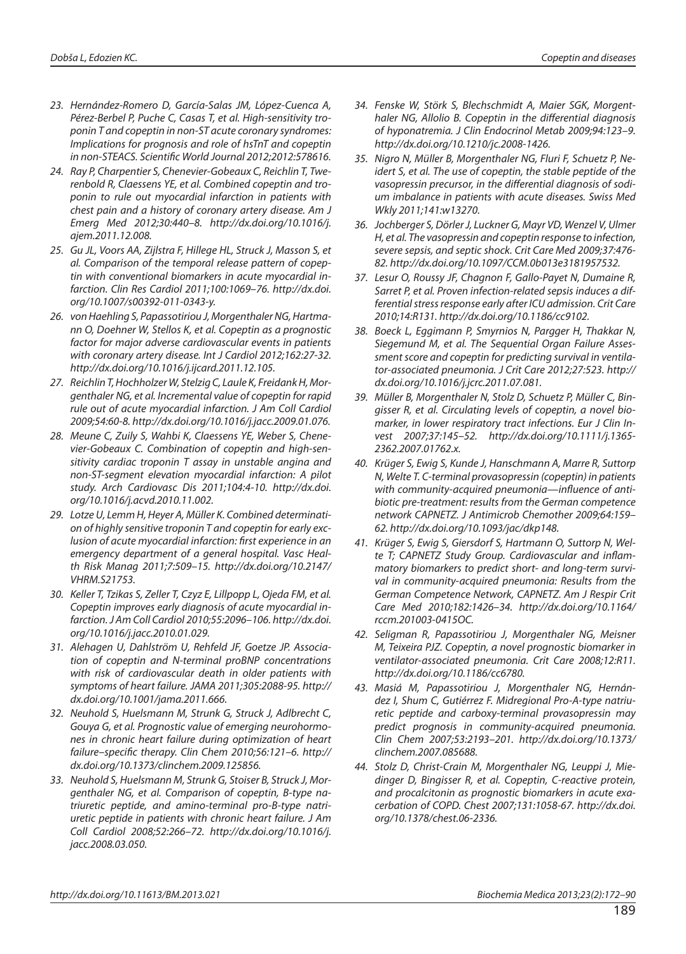- 23. Hernández-Romero D, García-Salas JM, López-Cuenca A, Pérez-Berbel P, Puche C, Casas T, et al. High-sensitivity troponin T and copeptin in non-ST acute coronary syndromes: Implications for prognosis and role of hsTnT and copeptin in non-STEACS. Scientific World Journal 2012:2012:578616.
- 24. Ray P, Charpentier S, Chenevier-Gobeaux C, Reichlin T, Twerenbold R, Claessens YE, et al. Combined copeptin and troponin to rule out myocardial infarction in patients with chest pain and a history of coronary artery disease. Am J Emerg Med 2012;30:440–8. http://dx.doi.org/10.1016/j. ajem.2011.12.008.
- 25. Gu JL, Voors AA, Zijlstra F, Hillege HL, Struck J, Masson S, et al. Comparison of the temporal release pattern of copeptin with conventional biomarkers in acute myocardial infarction. Clin Res Cardiol 2011;100:1069–76. http://dx.doi. org/10.1007/s00392-011-0343-y.
- 26. von Haehling S, Papassotiriou J, Morgenthaler NG, Hartmann O, Doehner W, Stellos K, et al. Copeptin as a prognostic factor for major adverse cardiovascular events in patients with coronary artery disease. Int J Cardiol 2012;162:27-32. http://dx.doi.org/10.1016/j.ijcard.2011.12.105.
- 27. Reichlin T, Hochholzer W, Stelzig C, Laule K, Freidank H, Morgenthaler NG, et al. Incremental value of copeptin for rapid rule out of acute myocardial infarction. J Am Coll Cardiol 2009;54:60-8. http://dx.doi.org/10.1016/j.jacc.2009.01.076.
- 28. Meune C, Zuily S, Wahbi K, Claessens YE, Weber S, Chenevier-Gobeaux C. Combination of copeptin and high-sensitivity cardiac troponin T assay in unstable angina and non-ST-segment elevation myocardial infarction: A pilot study. Arch Cardiovasc Dis 2011;104:4-10. http://dx.doi. org/10.1016/j.acvd.2010.11.002.
- 29. Lotze U, Lemm H, Heyer A, Müller K. Combined determination of highly sensitive troponin T and copeptin for early exclusion of acute myocardial infarction: first experience in an emergency department of a general hospital. Vasc Health Risk Manag 2011;7:509–15. http://dx.doi.org/10.2147/ VHRM.S21753.
- 30. Keller T, Tzikas S, Zeller T, Czyz E, Lillpopp L, Ojeda FM, et al. Copeptin improves early diagnosis of acute myocardial infarction. J Am Coll Cardiol 2010;55:2096–106. http://dx.doi. org/10.1016/j.jacc.2010.01.029.
- 31. Alehagen U, Dahlström U, Rehfeld JF, Goetze JP. Association of copeptin and N-terminal proBNP concentrations with risk of cardiovascular death in older patients with symptoms of heart failure. JAMA 2011;305:2088-95. http:// dx.doi.org/10.1001/jama.2011.666.
- 32. Neuhold S, Huelsmann M, Strunk G, Struck J, Adlbrecht C, Gouya G, et al. Prognostic value of emerging neurohormones in chronic heart failure during optimization of heart failure–specific therapy. Clin Chem 2010;56:121-6. http:// dx.doi.org/10.1373/clinchem.2009.125856.
- 33. Neuhold S, Huelsmann M, Strunk G, Stoiser B, Struck J, Morgenthaler NG, et al. Comparison of copeptin, B-type natriuretic peptide, and amino-terminal pro-B-type natriuretic peptide in patients with chronic heart failure. J Am Coll Cardiol 2008;52:266–72. http://dx.doi.org/10.1016/j. jacc.2008.03.050.
- 34. Fenske W, Störk S, Blechschmidt A, Maier SGK, Morgenthaler NG, Allolio B. Copeptin in the differential diagnosis of hyponatremia. J Clin Endocrinol Metab 2009;94:123–9. http://dx.doi.org/10.1210/jc.2008-1426.
- 35. Nigro N, Müller B, Morgenthaler NG, Fluri F, Schuetz P, Neidert S, et al. The use of copeptin, the stable peptide of the vasopressin precursor, in the differential diagnosis of sodium imbalance in patients with acute diseases. Swiss Med Wkly 2011;141:w13270.
- 36. Jochberger S, Dörler J, Luckner G, Mayr VD, Wenzel V, Ulmer H, et al. The vasopressin and copeptin response to infection, severe sepsis, and septic shock. Crit Care Med 2009;37:476- 82. http://dx.doi.org/10.1097/CCM.0b013e3181957532.
- 37. Lesur O, Roussy JF, Chagnon F, Gallo-Payet N, Dumaine R, Sarret P, et al. Proven infection-related sepsis induces a differential stress response early after ICU admission. Crit Care 2010;14:R131. http://dx.doi.org/10.1186/cc9102.
- 38. Boeck L, Eggimann P, Smyrnios N, Pargger H, Thakkar N, Siegemund M, et al. The Sequential Organ Failure Assessment score and copeptin for predicting survival in ventilator-associated pneumonia. J Crit Care 2012;27:523. http:// dx.doi.org/10.1016/j.jcrc.2011.07.081.
- 39. Müller B, Morgenthaler N, Stolz D, Schuetz P, Müller C, Bingisser R, et al. Circulating levels of copeptin, a novel biomarker, in lower respiratory tract infections. Eur J Clin Invest 2007;37:145–52. http://dx.doi.org/10.1111/j.1365- 2362.2007.01762.x.
- 40. Krüger S, Ewig S, Kunde J, Hanschmann A, Marre R, Suttorp N, Welte T. C-terminal provasopressin (copeptin) in patients with community-acquired pneumonia—influence of antibiotic pre-treatment: results from the German competence network CAPNETZ. J Antimicrob Chemother 2009;64:159– 62. http://dx.doi.org/10.1093/jac/dkp148.
- 41. Krüger S, Ewig S, Giersdorf S, Hartmann O, Suttorp N, Welte T; CAPNETZ Study Group. Cardiovascular and inflammatory biomarkers to predict short- and long-term survival in community-acquired pneumonia: Results from the German Competence Network, CAPNETZ. Am J Respir Crit Care Med 2010;182:1426–34. http://dx.doi.org/10.1164/ rccm.201003-0415OC.
- 42. Seligman R, Papassotiriou J, Morgenthaler NG, Meisner M, Teixeira PJZ. Copeptin, a novel prognostic biomarker in ventilator-associated pneumonia. Crit Care 2008;12:R11. http://dx.doi.org/10.1186/cc6780.
- 43. Masiá M, Papassotiriou J, Morgenthaler NG, Hernández I, Shum C, Gutiérrez F. Midregional Pro-A-type natriuretic peptide and carboxy-terminal provasopressin may predict prognosis in community-acquired pneumonia. Clin Chem 2007;53:2193–201. http://dx.doi.org/10.1373/ clinchem.2007.085688.
- 44. Stolz D, Christ-Crain M, Morgenthaler NG, Leuppi J, Miedinger D, Bingisser R, et al. Copeptin, C-reactive protein, and procalcitonin as prognostic biomarkers in acute exacerbation of COPD. Chest 2007;131:1058-67. http://dx.doi. org/10.1378/chest.06-2336.